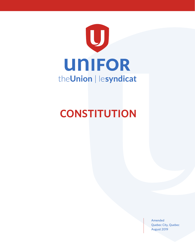

# **CONSTITUTION**

Amended Quebec City, Quebec August 2019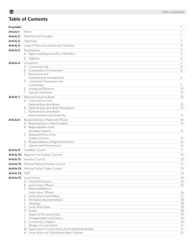# **Table of Contents**

| Preamble:         |                                                                                       | $\mathbf{1}$   |
|-------------------|---------------------------------------------------------------------------------------|----------------|
| Article 1:        | Name                                                                                  | 1              |
| <b>Article 2:</b> | Statement of Principles                                                               | 1              |
| Article 3:        | Objectives                                                                            | 3              |
| Article 4:        | Code of Ethics and Democratic Practices                                               | $\overline{4}$ |
| <b>Article 5:</b> | Membership                                                                            | 5              |
|                   | A: Rights and Responsibility of Members                                               | 6              |
|                   | Eligibility<br>B:                                                                     | 6              |
| Article 6:        | Convention                                                                            | 7              |
|                   | A: Convention Call                                                                    | 8              |
|                   | B: Composition of Convention                                                          | 8              |
|                   | C: Resolutions and                                                                    |                |
|                   | <b>Constitutional Amendments</b>                                                      | 9              |
|                   | D: Convention Procedures and                                                          |                |
|                   | Committees                                                                            | 9              |
|                   | E: Voting and Elections<br>Special Convention                                         | 10             |
|                   | F:                                                                                    | 10             |
| Article 7:        | National Executive Board                                                              | 10             |
|                   | A: Composition of the<br>National Executive Board                                     | 10             |
|                   | B: National Executive Board Procedures                                                | 13             |
|                   | C: National Executive Board                                                           |                |
|                   | Responsibilities and Authority                                                        | 13             |
| Article 8:        | Responsibilities of National Officers                                                 | 14             |
|                   | A: Responsibilities of the President                                                  | 14             |
|                   | B: Responsibilities of the                                                            |                |
|                   | Secretary Treasurer                                                                   | 15             |
|                   | C: Responsibilities of the                                                            |                |
|                   | Quebec Director                                                                       | 15             |
|                   | D: Responsibilities of Regional Directors<br>Salaries And Honorariums                 | 16             |
|                   | E: I                                                                                  | 16             |
| Article 9:        | Canadian Council                                                                      | 17             |
|                   | Article 10: Regional And Quebec Councils                                              | 18             |
| Article 11:       | <b>Industry Councils</b>                                                              | 20             |
|                   | <b>Article 12:</b> National Retired Workers Council                                   | 21             |
|                   | <b>Article 13:</b> National Skilled Trades Council                                    | 23             |
| Article 14: Staff |                                                                                       | 24             |
|                   | <b>Article 15:</b> Local Unions                                                       | 24             |
|                   | A: General Provisions                                                                 | 24             |
|                   | B: Local Union Officers                                                               | 25             |
|                   | C: Responsibilities of<br>Local Union Officers                                        | 26             |
|                   | D: Local Union Committees                                                             | 27             |
|                   | E: Workplace Representatives                                                          | 28             |
|                   | F: Meetings                                                                           | 28             |
|                   | G: Local Union Dues                                                                   | 28             |
|                   | H: Audits                                                                             | 28             |
|                   | Assets of the Local Union<br>Ŀ.                                                       | 29             |
|                   | J: Amalgamated Local Unions                                                           | 30             |
|                   | K: Community Chapters                                                                 | 30             |
|                   | Merger of Local Unions<br>Ŀ.<br>M: Supervision of Local Unions And Subordinate Bodies | 31<br>31       |
|                   | N: Local Union and Subordinate Body Charters                                          | 32             |
|                   |                                                                                       |                |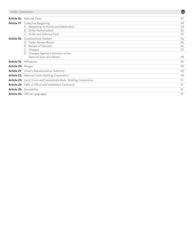| Unifor Constitution             |                                                                   | $\boldsymbol{\mathsf{U}}$ |
|---------------------------------|-------------------------------------------------------------------|---------------------------|
|                                 | Article 16: National Dues                                         | 33                        |
|                                 | Article 17: Collective Bargaining                                 | 34                        |
|                                 | A: Bargaining Authority and Ratification                          | 34                        |
|                                 | Strike Authorization<br>$B^+$                                     | 35                        |
|                                 | C: Strike and Defence Fund                                        | 35                        |
| Article 18:                     | <b>Constitutional Matters</b>                                     | 36                        |
|                                 | A: Public Review Board                                            | 36                        |
|                                 | Review of Decision<br>$B^+$                                       | 36                        |
|                                 | C: Charges                                                        | 37                        |
|                                 | D: Charges Against a Member of the                                |                           |
|                                 | National Executive Board                                          | 38                        |
| <b>Article 19:</b> Affiliations |                                                                   | 39                        |
| Article 20: Merger              |                                                                   | 40                        |
|                                 | Article 21: Union's Representative Authority                      | 40                        |
|                                 | Article 22: National Union Building Corporation                   | 40                        |
|                                 | Article 23: Local Union and Subordinate Body Building Corporation | 41                        |
|                                 | Article 24: Oath of Office and Installation Ceremony              | 41                        |
|                                 | <b>Article 25: Severability</b>                                   | 41                        |
|                                 | Article 26: Official Languages                                    | 41                        |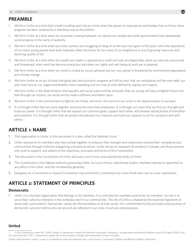### **PREAMBLE**

- 1. We form Unifor at a time that is both troubling and critical; a time when the power of corporations and bankers has no limits; when progress has been replaced by a relentless race to the bottom.
- 2. We form Unifor at a time when our economy is being hollowed, our democracy eroded and when governments have abandoned social progress in the name of austerity.
- 3. We form Unifor at a time when too many workers are struggling to hang on to the hard-won gains of the past, when the aspirations of too many young people have been battered; when the future for too many of our neighbours is one of growing insecurity and declining quality of life.
- 4. We form Unifor at a time when the wealth we create is captured by a small and over-privileged elite; when our jobs are outsourced and threatened; when work has become precarious and when our rights and well-being at work are in jeopardy.
- 5. We form Unifor at a time when our world is rocked by social upheaval and our very planet is threatened by environment degradation and climate change.
- 6. We form Unifor as an act of hope that good jobs and economic progress will still be won: that our workplaces will become safer, our jobs more secure, our wages and benefits more rewarding and our lives at work defined by dignity and respect.
- 7. We form Unifor in the determination that equality and social justice will be achieved, that our young will have a brighter future and that through our actions, our world will be made a different and better place.
- 8. We form Unifor in the commitment to fight for all of that, and more. And we form our union in the determination to succeed.
- 9. It is through Unifor that we come together and become more than employees. It is through our union that we find our strength and build our power. It is through Unifor that we express our common goals, support each other, and develop lasting bonds of friendship and solidarity. It is through Unifor that we protect and advance our interests and build our capacity to act for ourselves and with others.

# **ARTICLE 1: NAME**

- 1. This organization is Unifor. In this document it is also called the National Union.<sup>1</sup>
- 2. Unifor represents its members who have joined together to enhance their strength and collectively improve their workplaces and communities through collective bargaining and political action. Unifor strives to represent all workers in Canada, and those persons who wish to support, and adhere to the objectives, principles and terms of this Constitution.
- 3. This document is the Constitution of Unifor and every Local Union and subordinate body of Unifor.
- 4. This Constitution is the highest authority governing Unifor, its Local Unions, subordinate bodies, members elected or appointed to any office in the Union, and the membership generally.
- 5. Delegates at a Convention or Special Convention may amend this Constitution by a two thirds vote cast on a per capita basis.

# **ARTICLE 2: STATEMENT OF PRINCIPLES**

### **Democratic**

1. Unifor is a voluntary organization that belongs to its members. It is controlled by members and driven by members. Its role is to serve their collective interests in the workplace and in our communities. The life of Unifor is shaped by the essential ingredient of democratic participation. Democratic values are the foundation of all that we do. Our commitment to the principles and practices of democratic unionism define who we are and are reflected in our rules, structures and processes.

### **United**

Further when the term "Union" is used, it is intended to mean the National Union, Local Unions, Community Chapters and Retiree Chapters collectively.

In this Constitution, when the "CAW-Canada" is referenced it means the National Automobile, Aerospace, Transportation and General Workers Union of Canada (CAW-Canada); and where the "CEP" is referenced it means the Communications, Energy and Paperworkers Union of Canada.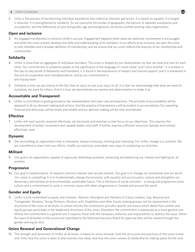- **2** Unifor Constitution
- 2. Unity is the process of transforming individual aspirations into collective interests and action. It is based on equality. It is forged in diversity. It is strengthened by solidarity. As we overcome the divides of geography, the barriers of separate workplaces and occupations, and the differences of race and gender, age and background, we build a unified working class organization.

### **Open and inclusive**

3. An engaged membership is critical to Unifor's success. Engagement happens when ideas are welcome, involvement is encouraged and when the union actively develops the skills and understanding of its members. In our efforts to be inclusive, we open the union to new members and a broader definition of membership, and we ensure that our union reflects the diversity of our membership and communities.

### **Solidarity**

- 4. Unifor is more than an aggregate of individual members. The union is shaped by our relationships, by how we treat and care for each other. Our commitment to solidarity speaks to the significance of the language of "union sister" and "union brother". It is evident in the day-to-day bonds of fellowship and friendship, it is found in the expressions of respect and mutual support, and it is witnessed in the acts of cooperation and interdependence, and by our commitment to anti-harassment.
- 5. Solidarity is how we pay tribute to the fact that an injury to one is an injury to all. It is how we acknowledge that what we want for ourselves, we want for others. And it is how we demonstrate our resolve and determination to make it so.

### **Accountable and Transparent**

6. Unifor is committed to good governance, fair representation and clear rules and practices. The principle of accountability will be apparent in all our decision making and actions. And the practice of transparency will be evident in our procedures. Our reporting, financial and otherwise, will be timely and reliable and our decision making will be clear and relevant.

### **Effective**

7. Unifor will react quickly, respond effectively, set decisively and maintain a clear focus on our objectives. This requires the development of skilled, competent and capable leaders and staff. It further requires sufficient resources (people and money) effectively used.

### **Dynamic**

8. We are building an organization that is innovative, always reviewing, evolving and improving. For Unifor, change is a constant. We are committed to learn from our efforts, modify our practices, and adopt new ways of conducting our activities.

### **Militant**

9. Our goal is an organization capable of vigorously defending ourselves, protecting and advancing our interest and fighting for all workers.

### **Progressive**

10. Our goal is transformative. To reassert common interest over private interest. Our goal is to change our workplaces and our world. Our vision is compelling. It is to fundamentally change the economy, with equality and social justice, restore and strengthen our democracy and achieve an environmentally sustainable future. This is the basis of social unionism – a strong and progressive union culture and a commitment to work in common cause with other progressives in Canada and around the world.

### **Gender and Equity**

11. Unifor is fully committed to equity and inclusion. Women, Aboriginal and Workers of Colour, Lesbian, Gay, Bisexual and Transgender Workers, Young Workers, Workers with Disabilities and other Equity seeking groups, will be represented in the structures of the union at all levels. In certain articles the constitution provides specific provisions which detail how women and equity groups participate in the leadership structures of the union. Elsewhere the commitment is expressed as a more general one. Where the commitment is a general one it requires those with the necessary authority and responsibility to address the issue. When By-Laws of all bodies in the unions are submitted to the National Executive Board for approval they will be viewed through this gender and equity lens.

### **Union Renewal and Generational Change**

12. The strength and dynamism of Unifor, at all levels, is based on union renewal. How the structures and practices of the union evolve over time; how the union is open to and receives new ideas, and how the union renews its leadership by making space for the next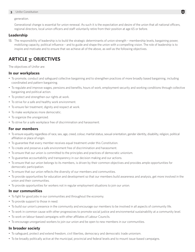generation.

Generational change is essential for union renewal. As such it is the expectation and desire of the union that all national officers, regional directors, local union officers and staff voluntarily retire from their position at age 65 or before.

#### **Leadership**

13. The responsibility of leadership is to build the strategic determinants of union strength – membership levels, bargaining power, mobilizing capacity, political influence – and to guide and shape the union with a compelling vision. The role of leadership is to inspire and motivate and to ensure that we achieve all of the above, as well as the following objectives.

### **ARTICLE 3: OBJECTIVES**

The objectives of Unifor are:

#### **In our workplaces**

- To promote, conduct and safeguard collective bargaining and to strengthen practices of more broadly based bargaining, including coordinated and pattern bargaining.
- To regulate and improve wages, pensions and benefits, hours of work, employment security and working conditions through collective bargaining and political action.
- To protect and strengthen our rights at work.
- To strive for a safe and healthy work environment.
- To ensure fair treatment, dignity and respect at work.
- To make workplaces more democratic.
- To organize the unorganized.
- To strive for a safe workplace free of discrimination and harassment.

### **For our members**

- To ensure equality regardless of race, sex, age, creed, colour, marital status, sexual orientation, gender identity, disability, religion, political affiliation or place of origin.
- To guarantee that every member receives equal treatment under this Constitution.
- To create and preserve a safe environment free of discrimination and harassment.
- To ensure that our union is committed to the principles and practices of democratic unionism.
- To guarantee accountability and transparency in our decision making and our actions.
- To ensure that our union belongs to its members, is driven by their common objectives and provides ample opportunities for democratic participation.
- To ensure that our union reflects the diversity of our members and communities.
- To provide opportunities for education and development so that our members build awareness and analysis, get more involved in the union and their communities.
- To provide opportunities for workers not in regular employment situations to join our union.

### **In our communities**

- To fight for good jobs in our communities and throughout the economy.
- To provide support to those in need.
- To build our union's presence in the community and encourage our members to be involved in all aspects of community life.
- To work in common cause with other progressives to promote social justice and environmental sustainability at a community level.
- To work on labour-based campaigns with other affiliates of Labour Councils.
- To encourage unorganized workers to join our union and be open to new members in our communities.

### **In broader society**

- To safeguard, protect and extend freedom, civil liberties, democracy and democratic trade unionism.
- To be broadly politically active at the municipal, provincial and federal levels and to mount issue-based campaigns.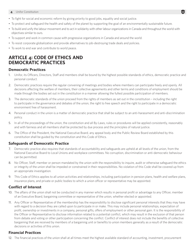- To fight for social and economic reform by giving priority to good jobs, equality and social justice.
- To protect and safeguard the health and safety of the planet by supporting the goal of an environmentally sustainable future.
- To build and unify the labour movement and to act in solidarity with other labour organizations in Canada and throughout the world with objectives similar to ours.

П

- To support and work in common cause with progressive organizations in Canada and around the world.
- To resist corporate globalization and provide alternatives to job-destroying trade deals and policies.
- To work to end war and contribute to world peace.

### **ARTICLE 4: CODE OF ETHICS AND DEMOCRATIC PRACTICES**

### **Democratic Practices**

- 1. Unifor, its Officers, Directors, Staff and members shall be bound by the highest possible standards of ethics, democratic practice and personal conduct.
- 2. Democratic practices require the regular convening of meetings and bodies where members can participate freely and openly. All decisions affecting the welfare of members, their collective agreements and other terms and conditions of employment should be made through the bodies set out in the constitution in a manner allowing the fullest possible participation of members.
- 3. The democratic standards of the union proceed from the rights of members as set out in the constitution including the right to participate in the governance and debates of the union, the right to free speech and the right to participate in a democratic environment free of harassment.
- 4. Personal conduct in the union is a matter of democratic practice that shall be subject to an anti-harassment and anti-discrimination policy.
- 5. In all of the proceedings of the union, the constitution and all By-Laws, rules or procedures will be applied consistently, reasonably and with fairness and all members shall be protected by due process and the principles of natural justice.
- 6. The Office of the President, the National Executive Board, any appeal body and the Public Review Board established by this constitution shall be guided by the constitution and this Code of Ethics.

### **Safeguards of Democratic Practice**

- 7. Democratic practice also requires that standards of accountability and safeguards are upheld at all levels of the union, from the National Executive Board to Local Unions and workplace committees. No corruption, discrimination or anti-democratic behaviour can be permitted.
- 8. No Officer, Staff, member or person mandated by the union with the responsibility to inquire, audit or otherwise safeguard the ethics or integrity of the union shall be impeded or constrained in their responsibilities. No violation of this Code shall be covered up from an appropriate investigation.
- 9. This Code of Ethics applies to all union activities and relationships, including participation in pension plans, health and welfare plans, insurance plans, and private or public bodies to which a union officer or representative may be appointed.

### **Conflict of Interest**

- 10. The affairs of the union shall not be conducted in any manner which results in personal profit or advantage to any Officer, member of an Executive Board, bargaining committee or representative of the union, whether elected or appointed.
- 11. Any Officer or Representative of the membership has the responsibility to disclose significant personal interests that they may have with regard to a decision they are called upon to participate in or make. This may include personal relationships, expectation of profit, ownership or investments in a company, personal gifts, offers of employment or other personal gain. It is the responsibility of the Officer or Representative to disclose information related to a potential conflict, which may result in the exclusion of that person from debate and voting or other participation concerning the conflict. Conflict of interest does not include the benefits of collective bargaining that are received by members of a bargaining unit or benefits to union members generally as a result of the democratic decisions or activities of this union.

### **Financial Practices**

12. The financial practices of the union shall at all times meet the highest available standard of accounting, investment, procurement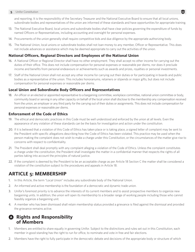and reporting. It is the responsibility of the Secretary Treasurer and the National Executive Board to ensure that all local unions, subordinate bodies and representatives of the union are informed of these standards and have opportunities for appropriate training.

- 13. The National Executive Board, local unions and subordinate bodies shall have clear policies governing the expenditure of funds by named Officers or Representatives, including accounting and oversight for personal expenses.
- 14. Procurements of the union generally shall require competitive bids and due diligence by the appropriate authorizing body.
- 15. The National Union, local unions or subordinate bodies shall not loan money to any member, Officer or Representative. This does not include advances or assistance which may be deemed appropriate to carry out the activities of the union.

### **National Officers, Regional Directors and Employees of the National Union**

- 16. A National Officer or Regional Director shall have no other employment. They shall accept no other income for carrying out the duties of their office. This does not include compensation for personal expenses or reasonable per diems, nor does it preclude income and benefits from personal endeavours or achievements such as awards and prizes, royalties or personal investments.
- 17. Staff of the National Union shall not accept any other income for carrying out their duties or for participating in boards and public bodies as a representative of the union. This includes honorariums, retainers or stipends or major gifts, but does not include compensation for personal expenses or reasonable per diems.

### **Local Union and Subordinate Body Officers and Representatives**

18. An officer or an elected or appointed representative to a bargaining committee, workplace committee, national union committee or body, community board or serving in any other capacity on behalf of the local union shall disclose to the membership any compensation received from the union, an employer or any third party for the carrying out of their duties or assignments. This does not include compensation for personal expenses or reasonable per diems.

#### **Enforcement of the Code of Ethics**

- 19. The ethical and democratic practices in this Code must be well understood and enforced by the union at all levels. Even the appearance of any violation of these standards can be the basis for investigation and action under the constitution.
- 20. If it is believed that a violation of this Code of Ethics has taken place or is taking place, a signed letter of complaint may be sent to the President with specific allegations describing how the Code of Ethics has been violated. This practice may be used when the person making the complaint does not wish to make a charge under this Constitution, or the circumstances of the matter give rise to concerns with respect to confidentiality.
- 21. The President shall deal promptly with any complaint alleging a violation of the Code of Ethics. Unless the complaint constitutes a charge under the constitution, the President shall investigate the matter in a confidential manner that respects the rights of all parties taking into account the principles of natural justice.
- 22. If the complaint is deemed by the President to be an acceptable charge as per Article 18 Section C the matter shall be considered a violation of the constitution subject to the procedures and appeals in Article 18.

### **ARTICLE 5: MEMBERSHIP**

- 1. In this Article, the term "Local Union" includes any subordinate body of the National Union.
- 2. An informed and active membership is the foundation of a democratic and dynamic trade union.
- 3. Unifor's foremost priority is to advance the interests of its current members and to assist prospective members to organize new bargaining units. In addition, the union will open its membership to a broader range of working people including those who cannot feasibly organize a bargaining unit.
- 4. A member who has been dismissed shall retain membership status provided a grievance is filed against the dismissal and provided the grievance remains active.

### A **Rights and Responsibility of Members**

- 1. Members are entitled to share equally in governing Unifor. Subject to the distinctions and rules set out in this Constitution, each member in good standing has the right to run for office, to nominate and vote in free and fair elections.
- 2. Members have the right to fully participate in the democratic debate and decisions of the appropriate body or structure of which

U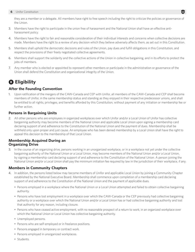they are a member or a delegate. All members have right to free speech including the right to criticize the policies or governance of the Union.

- 3. Members have the right to participate in the union free of harassment and the National Union shall have an effective antiharassment policy.
- 4. Members have the right to fair and reasonable consideration of their individual interests and concerns when collective decisions are made. Members have the right to a review of any decision which they believe adversely affects them, as set out in this Constitution.
- 5. Members shall uphold the democratic decisions and rules of the Union, pay dues and fulfill obligations in this Constitution, and respect the provisions of their freely negotiated collective agreements.
- 6. Members shall support the solidarity and the collective actions of the Union in collective bargaining, and in its efforts to protect the jobs of members.
- 7. Any member who is elected or appointed to represent other members or participate in the administration or governance of the Union shall defend the Constitution and organizational integrity of the Union.

### **B** Eligibility

### **After the Founding Convention**

1. Upon ratification of the mergers of the CAW-Canada and CEP with Unifor, all members of the CAW-Canada and CEP shall become members of Unifor, in the same membership status and standing as they enjoyed in their respective predecessor unions, and shall be entitled to all rights, privileges, and benefits afforded by this Constitution, without payment of any initiation or membership fee or further action.

### **Persons in Bargaining Units**

2. All other persons who are employees in organized workplaces over which Unifor and/or a Local Union of Unifor has collective bargaining authority may become members of the National Union and applicable Local Union upon signing a membership card declaring support of and adherence to the Constitution of the National Union and the payment of dues. Membership shall be withheld only upon proper and just cause. An employee who has been denied membership by a Local Union shall have the right to appeal this decision to the membership of that Local Union.

#### **Membership Acquired During an Organizing Drive**

3. In the course of an organizing drive, persons working in an unorganized workplace, or in a workplace not yet under the collective bargaining authority of the National Union or a Local Union, may become members of the National Union and/or a Local Union, by signing a membership card declaring support of and adherence to the Constitution of the National Union. A person joining the National Union and/or a Local Union shall pay the minimum initiation fee required by law in the jurisdiction of their workplace, if any.

### **Members in Community Chapters**

- 4. In addition, the persons listed below may become members of Unifor and applicable Local Union by joining a Community Chapter established by the National Executive Board. Membership shall commence upon completion of a membership card declaring support of and adherence to the Constitution of the National Union and the payment of applicable dues.
	- Persons employed in a workplace where the National Union or a Local Union attempted and failed to obtain collective bargaining authority.
	- Persons who have lost employment in a workplace over which the CAW-Canada or the CEP previously had collective bargaining authority or a workplace over which the National Union and/or a Local Union has or had collective bargaining authority and lost that authority for any reason, including closure.
	- Persons who have ceased active employment, with no reasonable prospect of a return to work, in an organized workplace over which the National Union or Local Union has collective bargaining authority.
	- Unemployed persons.
	- Persons who are self-employed or in freelance positions.
	- Persons engaged in temporary or contract work.
	- Persons employed in unorganized workplaces.
	- Students.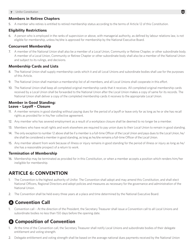### **Members in Retiree Chapters**

5. A member who retires is entitled to retired membership status according to the terms of Article 12 of this Constitution.

### **Eligibility Restrictions**

6. A person who is employed in the ranks of supervision or above, with managerial authority, as defined by labour relations law, is not eligible for membership, unless he/she is approved for membership by the National Executive Board.

### **Concurrent Membership**

7. A member of the National Union shall also be a member of a Local Union, Community or Retiree Chapter, or other subordinate body. A member of a Local Union, Community or Retiree Chapter or other subordinate body shall also be a member of the National Union and subject to its rulings, and decisions.

### **Membership Cards and Lists**

- 8. The National Union shall supply membership cards which it and all Local Unions and subordinate bodies shall use for the purposes of this Article.
- 9. The National Union shall maintain a membership list of all members, and all Local Unions shall cooperate in this effort.
- 10. The National Union shall keep all completed original membership cards that it receives. All completed original membership cards received by a Local Union shall be forwarded to the National Union after the Local Union makes a copy of same for its records. The National Union shall deliver a copy of the completed membership cards it receives to the appropriate Local Union.

### **Member in Good Standing: Leave – Layoff – Closure**

- 11. A member remains in good standing without paying dues for the period of a layoff or leave only for as long as he or she has recall rights as provided for in his/her collective agreement.
- 12. Any member who has severed employment as a result of a workplace closure shall be deemed to no longer be a member.
- 13. Members who have recall rights and work elsewhere are required to pay union dues to their Local Union to remain in good standing.
- 14. The only exception to number 12 above shall be if a member is a full-time Officer of the Local Union and pays dues to the Local Union, he/ she shall be considered a member in good standing, as long as he/she remains a full-time Officer of the Local Union.
- 15. Any member absent from work because of illness or injury remains in good standing for the period of illness or injury as long as he/ she has a reasonable prospect of a return to work.

### **Termination of Membership**

16. Membership may be terminated as provided for in this Constitution, or when a member accepts a position which renders him/her ineligible for membership.

# **ARTICLE 6: CONVENTION**

- 1. The Convention is the highest authority of Unifor. The Convention shall adopt and may amend this Constitution, and shall elect National Officers, Regional Directors and adopt policies and measures as necessary for the governance and administration of the National Union.
- 2. The Convention shall be held every three years at a place and time determined by the National Executive Board.

# A **Convention Call**

1. Convention call – At the direction of the President, the Secretary Treasurer shall issue a Convention call to all Local Unions and subordinate bodies no less than 150 days before the opening date.

# **B Composition of Convention**

- 1. At the time of the Convention call, the Secretary Treasurer shall notify Local Unions and subordinate bodies of their delegate entitlement and voting strength.
- 2. Delegate entitlement and voting strength shall be based on the average national dues payments received by the National Union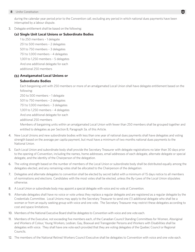during the calendar year period prior to the Convention call, excluding any period in which national dues payments have been interrupted by a labour dispute.

3. Delegate entitlement shall be based on the following:

#### **(a) Single Unit Local Unions or Subordinate Bodies**

1 to 250 members – 1 delegate 251 to 500 members – 2 delegates 501 to 750 members – 3 delegates 751 to 1,000 members – 4 delegates 1,001 to 1,250 members – 5 delegates And one additional delegate for each additional 250 members

### **(b) Amalgamated Local Unions or**

#### **Subordinate Bodies**

Each bargaining unit with 250 members or more of an amalgamated Local Union shall have delegate entitlement based on the following:

250 to 500 members – 1 delegate 501 to 750 members – 2 delegates

751 to 1,000 members – 3 delegates

1,001 to 1,250 members – 4 delegates

And one additional delegate for each

additional 250 members

Members of bargaining units within an amalgamated Local Union with fewer than 250 members shall be grouped together and entitled to delegates as per Section B, Paragraph 3a. of this Article.

- 4. New Local Unions and new subordinate bodies with less than one year of national dues payments shall have delegates and voting strength based on the average per capita payment, but must have a minimum of two months national dues payments to the National Union.
- 5. Each Local Union and subordinate body shall provide the Secretary Treasurer with delegate registrations no later than 30 days prior to the opening of Convention, including the names, home addresses, email addresses of each delegate, alternate delegate or special delegate, and the identity of the Chairperson of the delegation.
- 6. The voting strength based on the number of members of the Local Union or subordinate body shall be distributed equally among the delegates elected, and any remaining votes shall be allocated to the Chairperson of the delegation.
- 7. Delegates and alternate delegates to convention shall be elected by secret ballot with a minimum of 15 days notice to all members of nominations and elections. Candidates with the most votes shall be elected, unless the By-Laws of the Local Union stipulates otherwise.
- 8. A Local Union or subordinate body may appoint a special delegate with voice and no vote at Convention.
- 9. Alternate delegates shall have no voice or vote unless they replace a regular delegate and are registered as a regular delegate by the Credentials Committee. Local Unions may apply to the Secretary Treasurer to send one (1) additional delegate who shall be a woman or from an equity seeking group with voice and one vote. The Secretary Treasurer may restrict these delegates according to cost and space limitations.
- 10. Members of the National Executive Board shall be delegates to Convention with voice and one vote each.
- 11. Members of the Executive, not exceeding five members each, of the Canadian Council Standing Committees for Women, Aboriginal and Workers of Colour, Young Workers, Lesbian, Gay, Bisexual and Transgender Persons and Workers with Disabilities shall be delegates with voice. They shall have one vote each provided that they are voting delegates of the Quebec Council or Regional Councils.
- 12. The members of the National Retired Workers Council Executive shall be delegates to Convention with voice and one vote each.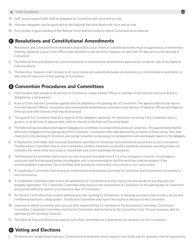- **9** Unifor Constitution
- 13. Staff, except support staff, shall be delegates to Convention with voice and no vote.
- 14. Honorary delegates may be appointed by the National Executive Board with voice and no vote.
- 15. Any member in good standing of the National Union shall be entitled to attend Convention as an observer.

### C **Resolutions and Constitutional Amendments**

- 1. Resolutions and Constitutional amendments proposed by Local Unions or subordinate bodies must be approved by a membership meeting, signed by a Local Union Officer and submitted to the Secretary Treasurer no later than 90 days prior to the opening of Convention.
- 2. The National Executive Board may submit resolutions or constitutional amendments approved by a majority vote of the National Executive Board.
- 3. The Secretary Treasurer shall circulate to all Local Unions and subordinate bodies all resolutions or constitutional amendments no later than 60 days prior to the opening of Convention.

### D **Convention Procedures and Committees**

- 1. The President shall preside at all sessions of Convention, unless another Officer or member of the National Executive Board is delegated as a replacement.
- 2. Rules of Order and the Convention agenda shall be adopted on the opening day of Convention. The agenda shall include reports from the National Officers, resolutions and constitutional amendments, nomination and election of National Officers and Regional Directors and other business that may be proposed.
- 3. The quorum for Convention shall be a majority of the delegates registered. All resolutions remaining if the Convention lacks a quorum, or at the time of adjournment, shall be referred to the National Executive Board.
- 4. The National Executive Board shall appoint delegates to committees to conduct the business of Convention. The appointments shall be affirmed by delegates on the opening day of the Convention. Committees shall make decisions by a majority of those voting. They shall meet prior to the opening of Convention, and during Convention as necessary, to complete their work and prepare reports to the delegates.
- 5. A Resolutions Committee shall receive all resolutions submitted to Convention and recommend concurrence or non-concurrence. The Resolutions Committee may re-write a resolution, combine resolutions or provide a substitute resolution, providing it does not contradict the intent of the local union or subordinate body which submitted the resolution.
- 6. The Resolutions Committee shall receive any late resolution and determine if it is of an emergency character. An emergency resolution shall first be placed before the delegates with a recommendation that the resolution shall be debated. If the recommendation is approved, the Committee shall proceed to recommend concurrence or non-concurrence.
- 7. A Constitution Committee shall receive all constitutional amendments submitted to Convention and recommend concurrence or non-concurrence.
- 8. A Credentials Committee shall receive all registrations to Convention and shall inquire into and decide on any disputes over delegate registration. The Credentials Committee shall report on the composition of Convention on the opening day of Convention and provide additional reports on consecutive days of Convention.
- 9. An Election Committee shall conduct balloting and vote counting for all elections. A balloting procedure may include a secure and confidential electronic voting system. The Election Committee shall report the results of elections to the Convention.
- 10. Expenses to attend convention and carry out their responsibilities for members of the Resolutions Committee, Constitution Committee, Credentials Committee and Election Committee shall be borne by the Convention Fund. All such expenses shall be approved by the Secretary Treasurer.
- 11. The National Executive Board may appoint such other committees as it determines are necessary for the Convention.

# E **Voting and Elections**

1. All resolutions, except those seeking a Constitutional amendment which require a two-thirds vote for approval, shall be approved by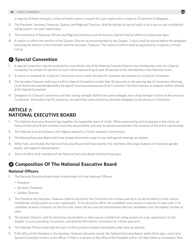a majority of those voting by a show of hands unless a request for a per capita vote is made by 20 percent of delegates.

- 2. The President, Secretary Treasurer, Quebec and Regional Directors, shall be elected by secret ballot or by a secure and confidential voting system, on a per capita basis.
- 3. The nomination of National Officers and Regional Directors and the election shall be held on different consecutive days.
- 4. A motion to affirm the election of the Quebec Director as recommended by the Quebec Council shall be placed before the delegates following the election of the President and the Secretary Treasurer. The motion to affirm shall be approved by a majority of those voting.

### **A** Special Convention

- 1. A special Convention may be convened by a two thirds vote of the National Executive Board or by membership votes for a Special Convention by at least 30 percent of Local Unions representing at least 30 percent of the membership in the National Union.
- 2. A motion or proposal for a Special Convention must contain the specific business and purpose for a Special Convention.
- 3. The Secretary Treasurer shall issue a call to a Special Convention no later than 30 days prior to the opening day of Convention informing Local Unions and subordinate bodies the specific business and purpose of the Convention. No other business or purpose shall be allowed at the Special Convention.
- 4. Delegates to a Special Convention and their voting strength shall be the same delegate and voting strength in place at the previous Convention. Alternates may fill vacancies, provided they were elected as alternate delegates to the previous Convention.

### **ARTICLE 7: NATIONAL EXECUTIVE BOARD**

- 1. The National Executive Board brings together the leadership team of Unifor. While representing distinct groups in the Union, all National Executive Board members have the responsibility and duty to advance and protect the interests of the entire membership.
- 2. The National Executive Board is the highest authority of Unifor between Conventions.
- 3. The National Executive Board shall meet at least three times a year. It may hold special meetings, as needed.
- 4. When fully constituted, the National Executive Board shall have twenty-five members reflecting a balance of industrial, gender, equity, and regional representation.
- 5. Terms of office of all members of the National Executive Board shall be three years.

### A **Composition Of The National Executive Board**

#### **National Officers**

- 1. The National Executive Board shall include three full-time National Officers:
	- President
	- Secretary Treasurer
	- Quebec Director
- 2. The President and Secretary Treasurer shall be elected by the Convention for a three year term, by secret ballot or other secure confidential voting system on a per capita basis. To be elected to office, the candidate must receive a majority of votes cast. If no candidate receives a majority on the first vote, there will be a second vote between the two candidates with the highest number of votes.
- 3. The Quebec Director shall be elected by secret ballot or other secure confidential voting system on a per capita basis, by the Quebec Council preceding Convention, and shall be affirmed by Convention for a three year term.
- 4. The National Officers shall take the oath of office and be installed immediately after they are elected.
- 5. If the office of the President or the Secretary Treasurer becomes vacant, the National Executive Board, within thirty days, must call a Special Convention to elect a new officer. If there is a vacancy in the office of the President within 120 days before a Convention, then

Ū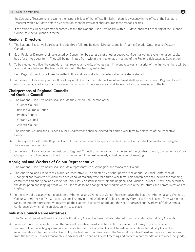the Secretary Treasurer shall assume the responsibilities of that office. Similarly, if there is a vacancy in the office of the Secretary Treasurer, within 120 days before a Convention, then the President shall assume those responsibilities.

6. If the office of Quebec Director becomes vacant, the National Executive Board, within 30 days, shall call a meeting of the Quebec Council to elect a Quebec Director.

### **Regional Directors**

- 7. The National Executive Board shall include three full time Regional Directors, one for Atlantic Canada, Ontario, and Western Canada.
- 8. Each Regional Director shall be elected by Convention by secret ballot or other secure confidential voting system on a per capita basis for a three year term. They will be nominated from within their region at a meeting of the Region's delegates at Convention.
- 9. To be elected to office, the candidate must receive a majority of votes cast. If no one receives a majority of the first vote, there will be a second vote between the two candidates with the two highest votes.
- 10. Each Regional Director shall take the oath of office and be installed immediately after he or she is elected.
- 11. In the event of a vacancy in the office of Regional Director, the National Executive Board shall appoint an interim Regional Director until the next Canadian Council or Convention at which time a successor shall be elected for the remainder of the term.

### **Chairpersons of Regional Councils and Quebec Council**

- 12. The National Executive Board shall include the elected Chairperson of the:
	- Quebec Council
	- British Columbia Council
	- Prairies Council
	- Ontario Council
	- Atlantic Council
- 13. The Regional Council and Quebec Council Chairpersons shall be elected for a three year term by delegates of the respective Councils.
- 14. To be eligible for office the Regional Council Chairpersons and Chairperson of the Quebec Council shall be an elected delegate to their respective councils.
- 15. In the event of a vacancy in the position of Regional Council Chairperson or Chairperson of the Quebec Council, the respective Vice-Chairperson shall serve as an interim chairperson until the next regularly scheduled council meeting.

### **Aboriginal and Workers of Colour Representative**

- 16. The National Executive Board shall include a representative of Aboriginal and Workers of Colour.
- 17. The Aboriginal and Workers of Colour Representative will be elected by his/her peers at the annual National Conference of Aboriginal and Workers of Colour by a secret ballot majority vote for a three year term. This conference shall include the standing committees on aboriginal and Worker of Colour issues established within the Regional and Quebec Councils. (It will also determine the description and language that will be used to describe aboriginal and workers of colour in the structures and communications of Unifor.)
- 18. In the event of a vacancy in the position of Aboriginal and Workers of Colour Representative, the National Aboriginal and Workers of Colour Committee (ie. The Canadian Council Aboriginal and Workers of Colour Standing Committee) shall select, from within their ranks, an interim representative to serve on the National Executive Board until the next Aboriginal and Workers of Colour annual conference, at which time an election will take place.

### **Industry Council Representatives**

- 19. The National Executive Board shall include 11 Industry Council representatives, selected from nominations by Industry Councils.
- 20. Industry Council representatives on the National Executive Board shall be elected by a secret ballot majority vote or other secure confidential voting system on a per capita basis of the Canadian Council, based on nominations by Industry Council and recommendations to the Canadian Council by the National Executive Board. The National Executive Board will receive nominations from the Industry Councils reasonably in advance of a Canadian Council meeting and present recommendations to meet the gender,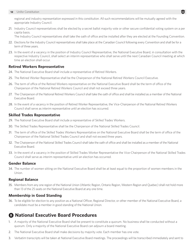regional and industry representation expressed in this constitution. All such recommendations will be mutually agreed with the appropriate Industry Council.

21. Industry Council representatives shall be elected by a secret ballot majority vote or other secure confidential voting system on a per capita basis.

The Industry Council representatives shall take the oath of office and be installed after they are elected at the Founding Convention.

- 22. Elections for the Industry Council representatives shall take place at the Canadian Council following every Convention and shall be for a term of three years.
- 23. In the event of a vacancy in the position of Industry Council Representative, the National Executive Board, in consultation with the respective Industry Council, shall select an interim representative who shall serve until the next Canadian Council meeting at which time an election shall occur.

### **Retired Workers Representative**

- 24. The National Executive Board shall include a representative of Retired Workers.
- 25. The Retired Worker Representative shall be the Chairperson of the National Retired Workers Council Executive.
- 26. The term of office of the Retired Workers representative on the National Executive Board shall be the term of office of the Chairperson of the National Retired Workers Council and shall not exceed three years.
- 27. The Chairperson of the National Retired Workers Council shall take the oath of office and shall be installed as a member of the National Executive Board.
- 28. In the event of a vacancy in the position of Retired Worker Representative, the Vice-Chairperson of the National Retired Workers Council shall serve as interim representative until an election has occurred.

#### **Skilled Trades Representative**

- 29. The National Executive Board shall include a representative of Skilled Trades Workers.
- 30. The Skilled Trades Representative shall be the Chairperson of the National Skilled Trades Council.
- 31. The term of office of the Skilled Trades Workers Representative on the National Executive Board shall be the term of office of the Chairperson of the National Skilled Trades Council and shall not exceed three years.
- 32. The Chairperson of the National Skilled Trades Council shall take the oath of office and shall be installed as a member of the National Executive Board.
- 33. In the event of a vacancy in the position of Skilled Trades Worker Representative the Vice-Chairperson of the National Skilled Trades Council shall serve as interim representative until an election has occurred.

### **Gender Balance**

34. The number of women sitting on the National Executive Board shall be at least equal to the proportion of women members in the Union.

### **Regional Balance**

35. Members from any one region of the National Union (Atlantic Region, Ontario Region, Western Region and Quebec) shall not hold more than 13 of the 25 seats on the National Executive Board at any one time.

### **Membership in Good Standing**

36. To be eligible for election to any position as a National Officer, Regional Director, or other member of the National Executive Board, a candidate must be a member in good standing of the National Union.

### B **National Executive Board Procedures**

- 1. A majority of the National Executive Board shall be present to constitute a quorum. No business shall be conducted without a quorum. Only a majority of the National Executive Board can adjourn a board meeting.
- 2. The National Executive Board shall make decisions by majority vote. Each member has one vote.
- 3. Verbatim transcripts will be taken at National Executive Board meetings. The proceedings will be transcribed immediately and sent to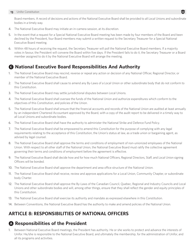Board members. A record of decisions and actions of the National Executive Board shall be provided to all Local Unions and subordinate bodies in a timely way.

- 4. The National Executive Board may initiate an in-camera session, at its discretion.
- 5. In the event that a request for a Special National Executive Board meeting has been made by four members of the Board and been declined by the President, four Board members may submit a written request to the Secretary Treasurer for a Special National Executive Board meeting.
- 6. Within 48 hours of receiving the request, the Secretary Treasurer will poll the National Executive Board members. If a majority votes in favour, the President will convene the Board within five days. If the President fails to do it, the Secretary Treasurer or a Board member assigned to do it by the National Executive Board will arrange the meeting.

### C **National Executive Board Responsibilities And Authority**

- 1. The National Executive Board may rescind, reverse or repeal any action or decision of any National Officer, Regional Director, or member of the National Executive Board.
- 2. The National Executive Board shall cause to amend any By-Laws of a Local Union or other subordinate body that do not conform to this Constitution.
- 3. The National Executive Board may settle jurisdictional disputes between Local Unions.
- 4. The National Executive Board shall oversee the funds of the National Union and authorize expenditures which conform to the objectives of this Constitution, and policies of the Union.
- 5. The National Executive Board shall ensure that the financial accounts and records of the National Union are audited at least annually by an independent Chartered Accountant approved by the Board, with a copy of the audit report to be delivered in a timely way to all Local Unions and subordinate bodies.
- 6. The National Executive Board shall have the authority to administer the National Strike and Defence Fund Policy.
- 7. The National Executive Board shall be empowered to amend this Constitution for the purpose of complying with any legal requirements relating to the acceptance of this Constitution, the Union's status at law, as a trade union or bargaining agent, as advised by legal counsel.
- 8. The National Executive Board shall approve the terms and conditions of employment of non-unionized employees of the National Union. With respect to all other staff of the National Union, the National Executive Board must ratify the collective agreement governing their terms and conditions of employment before the agreement is effective.
- 9. The National Executive Board shall decide how and for how much National Officers, Regional Directors, Staff, and Local Union signing Officers will be bonded.
- 10. The National Executive Board shall approve the department and area office structure of the National Union.
- 11. The National Executive Board shall receive, review and approve applications for a Local Union, Community Chapter, or subordinate body Charter.
- 12. The National Executive Board shall approve the By-Laws of the Canadian Council, Quebec, Regional and Industry Councils and Local Unions and other subordinate bodies and will, among other things, ensure that they shall reflect the gender and equity principles of this Constitution.
- 13. The National Executive Board shall exercise its authority and mandate as expressed elsewhere in this Constitution.
- 14. Between Conventions, the National Executive Board has the authority to make and amend policies of the National Union.

# **ARTICLE 8: RESPONSIBILITIES OF NATIONAL OFFICERS**

### A **Responsibilities of the President**

1. Between National Executive Board meetings, the President has authority. He or she works to protect and advance the interests of Unifor. He/she is responsible to the National Executive Board, and ultimately the membership, for the administration of Unifor, and all its programs and activities.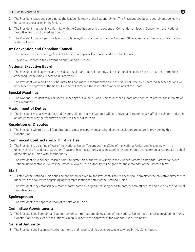- 2. The President leads and coordinates the leadership team of the National Union. The President directs and coordinates collective bargaining undertaken in the Union.
- 3. The President must act in conformity with the Constitution, and the actions of Convention or Special Convention, and National Executive Board and Canadian Council.
- 4. The President may act personally or through delegation of authority to other National Officers, Regional Directors, or Staff of the National Union.

### **At Convention and Canadian Council**

- 5. The President is the presiding Officer at a Convention, Special Convention and Canadian Council.
- 6. He/she will report to the Convention and Canadian Council.

### **National Executive Board**

- 7. The President shall convene and preside at regular and special meetings of the National Executive Board, other than a meeting convened under Article 7 section B Paragraph 6.
- 8. The President will report on his/her activities and make recommendations to the National Executive Board. All his/her actions will be subject to approval of the Board. He/she will carry out the instructions or decisions of the Board.

### **Special Meetings**

9. The National President may call special meetings of Councils, Local Unions or other subordinate bodies, to protect the interests of their members.

### **Assignment of Duties**

10. The President may assign duties and responsibilities to other National Officers, Regional Directors and Staff of the Union, and such an assignment may be withdrawn at the President's discretion.

### **Resolution of Disputes**

11. The President will rule on all Constitutional issues, except where another dispute resolution procedure is provided by this Constitution.

### **Commercial Contracts with Third Parties**

- 12. The President is a signing officer of the National Union. To conduct the affairs of the National Union and in keeping with its objectives, the President or Secretary Treasurer has the authority to sign, administer and enforce any commercial contract on behalf of the National Union with another party.
- 13. The President or Secretary Treasurer may delegate this authority in writing to the Quebec Director, a Regional Director and/or a National Representative. Unless the Officer revokes it, the authority will be good for the remainder of the Officer's term.

### **Staff**

- 14. All staff of the National Union shall be appointed or hired by the President. The President shall administer the collective agreements made with the collective bargaining agents representing the staff of the National Union.
- 15. The President may establish new staff departments or reorganize existing departments, or area offices, as approved by the National Executive Board.

### **Spokesperson**

16. The President is the spokesperson of the National Union.

### **Committee Appointments**

17. The President shall appoint all National Union committees and delegations of the National Union not otherwise provided for in this Constitution, or policies of the National Union, subject to the approval of the National Executive Board.

### **General Authority**

18. The President shall exercise his/her authority and responsibilities as expressed elsewhere in this Constitution.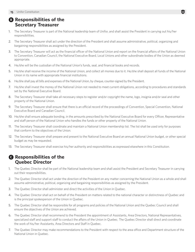### $\bullet$  **Responsibilities of the Secretary Treasurer**

- 1. The Secretary Treasurer is part of the National leadership team of Unifor, and shall assist the President in carrying out his/her responsibilities.
- 2. The Secretary Treasurer shall act under the direction of the President and shall assume administrative, political, organizing and bargaining responsibilities as assigned by the President.
- 3. The Secretary Treasurer will act as the financial officer of the National Union and report on the financial affairs of the National Union to Convention, Canadian Council, the National Executive Board, Local Unions and other subordinate bodies of the Union as deemed appropriate.
- 4. He/she will be the custodian of the National Union's funds, seal, and financial books and records.
- 5. He/she shall receive the income of the National Union, and collect all monies due to it. He/she shall deposit all funds of the National Union in its name with appropriate financial institutions.
- 6. He/she shall pay all bills and expenses of the National Union, by cheque, counter-signed by the President.
- 7. He/she shall invest the money of the National Union not needed to meet current obligations, according to procedures and standards set by the National Executive Board.
- 8. The Secretary Treasurer shall take all necessary steps to register and/or copyright the name, logo, insignia and/or seal and other property of the National Union.
- 9. The Secretary Treasurer shall ensure that there is an official record of the proceedings of Convention, Special Convention, National Executive Board and Canadian Council.
- 10. He/she shall ensure adequate bonding, in the amounts prescribed by the National Executive Board for every Officer, Representative and staff person of the National Union who handles the funds or other property of the National Union.
- 11. The Secretary Treasurer shall coordinate and maintain a National Union membership list. The list shall be used only for purposes that conform to the objectives of the Union.
- 12. The Secretary Treasurer shall prepare and present to the National Executive Board an annual National Union budget, or other special budget as may be requested.
- 13. The Secretary Treasurer shall exercise his/her authority and responsibilities as expressed elsewhere in this Constitution.

### C **Responsibilities of the Quebec Director**

- 1. The Quebec Director shall be part of the National leadership team and shall assist the President and Secretary Treasurer in carrying out their responsibilities.
- 2. The Quebec Director shall act under the direction of the President on any matter concerning the National Union as a whole and shall assume administrative, political, organizing and bargaining responsibilities as assigned by the President.
- 3. The Quebec Director shall administer and direct the activities of the Union in Quebec.
- 4. The Quebec Director shall act on behalf of the President on matters related to the national character or distinctness of Quebec and is the principal spokesperson of the Union in Quebec.
- 5. The Quebec Director shall be responsible for all programs and policies of the National Union and the Quebec Council and shall ensure the objectives of the Union are achieved.
- 6. The Quebec Director shall recommend to the President the appointment of Assistants, Area Directors, National Representatives, specialized staff and support staff to conduct the affairs of the Union in Quebec. The Quebec Director shall direct and coordinate the work of his/her Assistants, Area Directors and Staff in Quebec.
- 7. The Quebec Director may make recommendations to the President with respect to the area office and Department structure of the National Union in Quebec.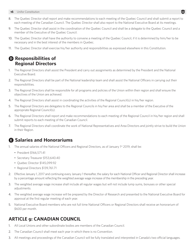- 8. The Quebec Director shall report and make recommendations to each meeting of the Quebec Council and shall submit a report to each meeting of the Canadian Council. The Quebec Director shall also report to the National Executive Board at its meetings.
- 9. The Quebec Director shall assist in the coordination of the Quebec Council and shall be a delegate to the Quebec Council and a member of the Executive of the Quebec Council.
- 10. The Quebec Director shall have the authority to convene a meeting of the Quebec Council, if it is determined by him/her to be necessary and in the best interest of the members in Quebec.
- 11. The Quebec Director shall exercise his/her authority and responsibilities as expressed elsewhere in this Constitution.

### D **Responsibilities of Regional Directors**

- 1. The Regional Directors shall assist the President and carry out assignments as determined by the President and the National Executive Board.
- 2. The Regional Directors shall be part of the National leadership team and shall assist the National Officers in carrying out their responsibilities.
- 3. The Regional Directors shall be responsible for all programs and policies of the Union within their region and shall ensure the objectives of the Union are achieved.
- 4. The Regional Directors shall assist in coordinating the activities of the Regional Council(s) in his/her region.
- 5. The Regional Directors are delegates to the Regional Councils in his/her area and shall be a member of the Executive of the appropriate Regional Council(s).
- 6. The Regional Directors shall report and make recommendations to each meeting of the Regional Council in his/her region and shall submit reports to each meeting of the Canadian Council.
- 7. The Regional Directors shall coordinate the work of National Representatives and Area Directors and jointly strive to build the Union in their Region.

### E **Salaries and Honorariums**

- 1. The annual salaries of the National Officers and Regional Directors, as of January 1<sup>st</sup> 2019, shall be:
	- President \$166,571.41
	- Secretary Treasurer \$153,640.40
	- Quebec Director \$145,099.92
	- Regional Directors \$139,761.71
- 2. Effective January 1, 2017 and continuing every January 1 thereafter, the salary for each National Officer and Regional Director shall increase by a percentage amount reflecting the weighted average wage increase of the membership in the preceding year.
- 3. The weighted average wage increase shall include all regular wages but will not include lump sums, bonuses or other special adjustments.
- 4. The weighted average wage increase will be prepared by the Director of Research and presented to the National Executive Board for approval at the first regular meeting of each year.
- 5. National Executive Board members who are not full time National Officers or Regional Directors shall receive an honorarium of \$600 per month.

# **ARTICLE 9: CANADIAN COUNCIL**

- 1. All Local Unions and other subordinate bodies are members of the Canadian Council.
- 2. The Canadian Council shall meet each year in which there is no Convention.
- 3. All meetings and proceedings of the Canadian Council will be fully translated and interpreted in Canada's two official languages.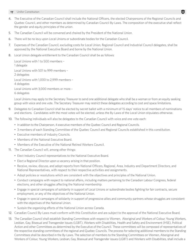- 4. The Executive of the Canadian Council shall include the National Officers, the elected Chairpersons of the Regional Councils and Quebec Council, and other members as determined by Canadian Council By-Laws. The composition of the executive shall reflect the gender and equity principles of the union.
- 5. The Canadian Council will be convened and chaired by the President of the National Union.
- 6. There will be no levy upon Local Unions or subordinate bodies for the Canadian Council.
- 7. Expenses of the Canadian Council, excluding costs for Local Union, Regional Council and Industrial Council delegates, shall be approved by the National Executive Board and borne by the National Union.
- 8. Local Union delegate entitlement to the Canadian Council shall be as follows:

Local Unions with 1 to 500 members – 1 delegate Local Unions with 501 to 999 members – 2 delegates Local Unions with 1,000 to 2,999 members – 4 delegates Local Unions with 3,000 members or more – 6 delegates

Local Unions may apply to the Secretary Treasurer to send one additional delegate who shall be a woman or from an equity seeking group with voice and one vote. The Secretary Treasurer may restrict these delegates according to cost and space limitations.

- 9. Delegates to Canadian Council shall be elected by secret ballot with a minimum of 15 days' notice to all members of nominations and elections. Candidates with the most votes will be elected, unless the By-Laws of the Local Union stipulates otherwise.
- 10. The following individuals will also be delegates to the Canadian Council with voice and one vote each:
	- In addition to the Chairperson, 4 executive members of the Quebec Council and Regional Councils.
	- 3 members of each Standing Committee of the Quebec Council and Regional Councils established in this constitution.
	- Executive members of Industry Councils.
	- Members of the National Executive Board.
	- Members of the Executive of the National Retired Workers Council.
- 11. The Canadian Council will, among other things:
	- Elect Industry Council representatives to the National Executive Board.
	- Elect a Regional Director upon a vacancy arising in that position.
	- Receive, review, discuss, and adopt reports from National Officers, Regional, Area, Industry and Department Directors, and National Representatives, with respect to their respective activities and assignments.
	- Adopt policies or resolutions which are consistent with the objectives and principles of the National Union.
	- Conduct campaigns with respect to national affairs, including matters pertaining to the Canadian Labour Congress, federal elections, and other struggles affecting the National membership.
	- Engage in special campaigns of solidarity in support of Local Unions or subordinate bodies fighting for fair contracts, secure employment, or any of the objectives of the National Union.
	- Engage in special campaigns of solidarity in support of progressive allies and community partners whose struggles are consistent with the objectives of the National Union.
	- Sustain the organizing efforts of the National Union across Canada.
- 12. Canadian Council By-Laws must conform with this Constitution and are subject to the approval of the National Executive Board.
- 13. The Canadian Council shall establish Standing Committees with respect to Women, Aboriginal and Workers of Colour, Young Workers, Lesbian, Gay, Bisexual and Transgender issues (LGBT), Workers with Disabilities, Health and Safety and Environment (HSE), Political Action and other Committees as determined by the Executive of the Council. These committees will be composed of representatives of the respective standing committees of the regional and Quebec Councils. The process for selecting additional members to the Standing Committees shall be described in the By-Laws. The selection of members to the Standing Committees on Women, Aboriginal and Workers of Colour, Young Workers, Lesbian, Gay, Bisexual and Transgender issues (LGBT) and Workers with Disabilities, shall include a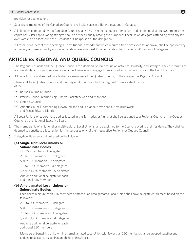provision for peer election.

- 14. Successive meetings of the Canadian Council shall take place in different locations in Canada.
- 15. All elections conducted by the Canadian Council shall be by a secret ballot, or other secure and confidential voting system on a per capita basis. Per capita voting strength shall be divided equally among the number of Local Union delegates attending, with any left over votes to be allocated to the President or Chairperson of the delegation.
- 16. All resolutions, except those seeking a Constitutional amendment which require a two-thirds vote for approval, shall be approved by a majority of those voting by a show of hands unless a request for a per capita vote is made by 20 percent of delegates.

### **ARTICLE 10: REGIONAL AND QUEBEC COUNCILS**

- 1. The Regional Councils and the Quebec Council are a democratic force for union activism, solidarity, and strength. They are forums of accountability and organizing centres which will involve and engage thousands of local union activists in the life of the union.
- 2. All Local Unions and subordinate bodies are members of the Quebec Council, or their respective Regional Council.
- 3. There shall be a Quebec Council and four Regional Councils. The four Regional Councils shall consist of the:
	- (a) British Columbia Council
	- (b) Prairies Council (comprising Alberta, Saskatchewan and Manitoba)
	- (c) Ontario Council
	- (d) Atlantic Council (comprising Newfoundland and Labrador, Nova Scotia, New Brunswick, and Prince Edward Island)
- 4. All Local Unions or subordinate bodies located in the Territories or Nunavut shall be assigned to a Regional Council or the Quebec Council by the National Executive Board.
- 5. The membership of a National or multi-regional Local Union shall be assigned to the Council covering their residence. They shall be deemed to constitute a local union for the purposes only of their respective Regional or Quebec Council.
- 6. Delegate entitlement shall be based on the following:

#### **(a) Single Unit Local Unions or Subordinate Bodies**

1 to 250 members – 1 delegate

251 to 500 members – 2 delegates

501 to 750 members – 3 delegates

751 to 1,000 members – 4 delegates

1,001 to 1,250 members – 5 delegates

And one additional delegate for each additional 250 members

**(b) Amalgamated Local Unions or** 

#### **Subordinate Bodies**

Each bargaining unit with 250 members or more of an amalgamated Local Union shall have delegate entitlement based on the following:

250 to 500 members – 1 delegate

501 to 750 members – 2 delegates

751 to 1,000 members – 3 delegates

1,001 to 1,250 members – 4 delegates

And one additional delegate for each additional 250 members

Members of bargaining units within an amalgamated Local Union with fewer than 250 members shall be grouped together and entitled to delegates as per Paragraph 6a of this Article.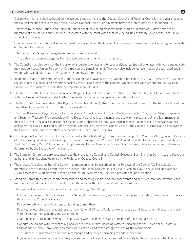Delegate entitlement shall be based on the average dues payment to the Quebec Council and Regional Councils in the year preceding the Council meeting excluding any period in which National Union dues payments have been interrupted by a labour dispute.

- 7. Delegates to Quebec Council and Regional Councils shall be elected by secret ballot with a minimum of 15 days notice to all members of nominations and elections. Candidates with the most votes shall be elected, unless the By-Laws of the Local Union stipulates otherwise.
- 8. Upon approval of the National Executive Board the Regional and the Quebec Councils may change the Local Union regular delegate entitlement formula provided:
	- No Local Union's regular delegate entitlement is reduced, and
	- The balance of regular delegates from the two predecessor unions is maintained.
- 9. The Councils may also consider the inclusion of alternate delegates and/or special delegates. Special delegates, with voice and no vote, may include a Local Union President or Chairperson of a bargaining unit. They may also include representatives of designated equity groups who would participate in the Council's Standing Committees.
- 10. In addition to and at the same time as National Union dues payable by Local Unions a per capita levy of 0.0135% of every worker's regular wages will be paid on a monthly basis by every Local Union to the National Union, which will distribute to the Regional Councils or the Quebec Council, their appropriate share of funds.
- 11. The By-Laws of the Quebec Council and each Regional Council must conform to this Constitution. They shall be approved by the National Executive Board, and shall reflect the gender and equity principles of the National Union.
- 12. The term of office of delegates to the Regional Councils and the Quebec Council shall be equal in length to the term of office of the Executive of the Local Union from which they are elected.
- 13. The Executive of each Regional Council and the Quebec Council at a minimum shall include an elected Chairperson, Vice Chairperson, and Secretary Treasurer. The composition of the Executive shall reflect the gender and equity principles of the Union. Each member of the Executive of a Regional Council or the Quebec Council shall serve a three year term. Regional Directors shall be delegates to their respective Regional Council and ex-officio members of the Executive of the Regional Council. The Quebec Director shall be a delegate to the Quebec Council and an ex-officio member of the Quebec Council Executive.
- 14. Each Regional Council and the Quebec Council will establish standing committees with respect to Women, Aboriginal and Workers of Colour, Young Workers, Lesbian, Gay, Bisexual and Transgender Workers (LGBT), Workers with Disabilities, Health, Safety and the Environment (HSE), Political Action, Employee and Family Assistance Program Committee (EFAP) and other committees as determined by the Executive of the Council.
- 15. The Standing Committees are accountable to their respective Council and Council Executive. Each Standing Committee shall have the authority and funds delegated to it by the Regional or Quebec Council.
- 16. The process for selecting Standing Committee members shall be described in the By-Laws of the Council(s). The selection of members to the Standing Committees on Women, Aboriginal and Workers of Colour, Lesbian, Gay, Bisexual and Transgender (LGBT) members, Workers with Disabilities and Young Workers shall include a provision for peer election.
- 17. Standing Committees may organize conferences and meetings, initiate educational events and activities, mobilize members and make recommendations to the Council to build the union within the mandate of the committee.
- 18. The regional Council and the Quebec Council, will among other things:
	- Elect a Chairperson, who shall serve on the National Executive Board, and a Vice-Chairperson, Secretary Treasurer, and others as determined by Council By-Laws.
	- Review reports and issue directions to Standing Committees.
	- Receive, review, discuss and adopt reports from National Officers, Regional, Area, Industry and Department directors, and staff, with respect to their activities and assignments.
	- Adopt policies or resolutions which are consistent with the objectives and principles of the National Union.
	- Conduct campaigns with respect to regional or provincial affairs, including matters pertaining to the Provincial or Territorial Federations of Labour, provincial and municipal elections, and other struggles affecting the membership.
	- The Quebec Council may also conduct a campaign and activities pertaining to Federal elections.
	- Engage in special campaigns of solidarity and support of a Local Union or subordinate body fighting for a fair contract, security of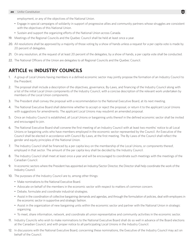employment, or any of the objectives of the National Union.

- Engage in special campaigns of solidarity in support of progressive allies and community partners whose struggles are consistent with the objectives of this National Union.
- Sustain and support the organizing efforts of the National Union across Canada.
- 19. Meetings of the Regional Councils and the Quebec Council shall be held at least once a year.
- 20. All resolutions shall be approved by a majority of those voting by a show of hands unless a request for a per capita vote is made by 20 percent of delegates.
- 21. On any resolution, at the request of at least 20 percent of the delegates, by a show of hands, a per capita vote shall be conducted.
- 22. The National Officers of the Union are delegates to all Regional Councils and the Quebec Council.

### **ARTICLE 11: INDUSTRY COUNCILS**

- 1. A group of Local Unions having members in a defined economic sector may jointly propose the formation of an Industry Council to the President.
- 2. The proposal shall include a description of the objectives, governance, By-Laws, and financing of the Industry Council along with a list of the initial Local Union components of the Industry Council, with a concise description of the relevant work undertaken by members of the Local Union components.
- 3. The President shall convey the proposal with a recommendation to the National Executive Board, at its next meeting.
- 4. The National Executive Board shall determine whether to accept or reject the proposal, or return it to the applicant Local Unions with suggestions for amendments. The applicant Local Unions may resubmit an amended proposal.
- 5. Once an Industry Council is established, all Local Unions or bargaining units thereof in the defined economic sector shall be invited and encouraged to join.
- 6. The National Executive Board shall convene the first meeting of an Industry Council with at least two months' notice to all Local Unions or bargaining units who have members employed in the economic sector represented by the Council. An Executive of the Council shall be elected in accordance with Council By-Laws, at the first meeting. The By-Laws of the Council shall reflect the gender and equity principles of the National Union.
- 7. The Industry Council shall be financed by a per capita levy on the membership of the Local Unions, or components thereof, employed in that sector. The amount of the per capita levy shall be decided by the Industry Council.
- 8. The Industry Council shall meet at least once a year and will be encouraged to coordinate such meetings with the meetings of the Canadian Council.
- 9. In economic sectors where the President has appointed an Industry/Sector Director, the Director shall help coordinate the work of the Industry Council.
- 10. The purposes of the Industry Council are to, among other things:
	- Make nominations to the National Executive Board.
	- Advocate on behalf of the members in the economic sector with respect to matters of common concern.
	- Debate, formulate and coordinate industrial strategies.
	- Assist in the coordination of collective bargaining demands and agendas, and through the formulation of policies, deal with employers in the economic sector in supportive and strategic fashion.
	- Assist in the organization of new bargaining units within the economic sector and partner with the National Union in strategic organizing.
	- To meet, share information, network, and coordinate all union representative and community activities in the economic sector.
- 11. Industry Councils who wish to make nominations to the National Executive Board shall do so well in advance of the Board elections at the Canadian Council, and with proper notice to all participating Local Unions in the Industry Council.
- 12. In discussions with the National Executive Board, concerning these nominations, the Executive of the Industry Council may act on behalf of the Council.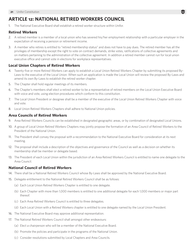# **ARTICLE 12: NATIONAL RETIRED WORKERS COUNCIL**

1. The National Executive Board shall establish a retired worker structure within Unifor.

### **Retired Workers**

- 2. A retired member is a member of a local union who has severed his/her employment relationship with a particular employer in the expectation of receiving a pension or retirement income.
- 3. A member who retires is entitled to "retired membership status" and does not have to pay dues. The retired member has all the privileges of membership except the right to vote on contract demands, strike votes, ratifications of collective agreements and on matters pertaining to the administration of the collective agreement. In addition a retired member cannot run for local union executive office and cannot vote in elections for workplace representatives.

### **Local Union Chapters of Retired Workers**

- 4. Twenty-five or more Retired Workers can apply to establish a Local Union Retired Workers Chapter by submitting its proposed By-Laws to the executive of the Local Union. When such an application is made the Local Union will review the proposed By-Laws and amend its own By-Laws to establish the retired worker chapter.
- 5. The Chapter shall hold regular meetings of its members.
- 6. The Chapter's members shall elect a retired worker to be a representative of retired members on the Local Union Executive Board with voice and vote, using election procedures which conform to this constitution.
- 7. The Local Union President or designee shall be a member of the executive of the Local Union Retired Workers Chapter with voice and vote.
- 8. Local Union Retired Workers Chapters shall adhere to National Union policies.

### **Area Councils of Retired Workers**

- 9. Area Retired Workers Councils can be established in designated geographic areas, or by combination of designated Local Unions.
- 10. A group of Local Union Retired Workers Chapters may jointly propose the formation of an Area Council of Retired Workers to the President of the National Union.
- 11. The President shall convey the proposal with a recommendation to the National Executive Board for consideration at its next meeting.
- 12. The proposal shall include a description of the objectives and governance of the Council as well as a decision on whether its membership shall be member or delegate based.
- 13. The President of each Local Union within the jurisdiction of an Area Retired Workers Council is entitled to name one delegate to the Area Council.

### **National Council of Retired Workers**

- 14. There shall be a National Retired Workers Council whose By-Laws shall be approved by the National Executive Board.
- 15. Delegate entitlement to the National Retired Workers Council shall be as follows:
	- (a) Each Local Union Retired Workers Chapter is entitled to one delegate.
	- (b) Each Chapter with more than 1,000 members is entitled to one additional delegate for each 1,000 members or major part thereof.
	- (c) Each Area Retired Workers Council is entitled to three delegates.
	- (d) Each Local Union with a Retired Workers chapter is entitled to one delegate named by the Local Union President.
- 16. The National Executive Board may approve additional representation.
- 17. The National Retired Workers Council shall amongst other endeavours:
	- (a) Elect a chairperson who will be a member of the National Executive Board.
	- (b) Promote the policies and participate in the programs of the National Union.
	- (c) Consider resolutions submitted by Local Chapters and Area Councils.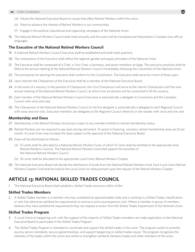- (d) Advise the National Executive Board on issues that affect Retired Workers within the union.
- (e) Work to advance the interest of Retired Workers in our communities.
- (f) Engage in the political, educational and organizing campaigns of the National Union.
- 18. The National Retired Workers Council shall meet annually and the event will be translated and interpreted in Canada's two official languages.

### **The Executive of the National Retired Workers Council**

- 19. A National Retired Workers Council Executive shall be established and shall meet quarterly.
- 20. The composition of the Executive shall reflect the regional, gender and equity principles of the National Union.
- 21. The Executive shall be composed of a Chair, a Vice-Chair, a Secretary, and seven members-at-large. The executive positions shall be filled at the annual meeting of the National Retired Workers Council immediately following the Convention of the National Union.
- 22. The procedures for electing the executive shall conform to this Constitution. The Executive shall serve for a term of three years.
- 23. Upon election the Chairperson of the Executive shall be a member of the National Executive Board.
- 24. In the event of a vacancy in the position of Chairperson, the Vice-Chairperson will serve as the interim Chairperson until the next annual meeting of the National Retired Workers Council, at which time an election will be conducted to fill the vacancy.
- 25. Each member of the National Retired Workers Council Executive is automatically a delegate to Convention and the Canadian Council with voice and vote.
- 26. The Chairperson of the National Retired Workers Council or her/his designee is automatically a delegate to each Regional Council with voice and one vote. Executive members are delegates to the Regional Council where he or she resides with voice and one vote.

#### **Membership and Dues**

- 27. Membership in the Retired Workers structures is open to any member entitled to retired membership status.
- 28. Retired Workers are not required to pay dues during retirement. To assist in financing, voluntary retired membership dues are \$1 per month. A Local Union may increase the dues subject to the approval of the National Executive Board.
- 29. Dues will be distributed as follows:
	- (a) 55 cents shall be allocated to a National Retired Workers Fund, of which 10 cents shall be remitted to the appropriate Area Retired Workers Councils. The National Retired Workers Fund shall support the activities of the National Retired Workers Council.
	- (b) 45 cents shall be allocated to the appropriate Local Union Retired Workers Chapter.
- 30. The National Executive Board will decide the distribution of funds from the National Retired Workers Fund. Each Local Union Retired Workers Chapter Fund shall be held by the Local Union for disbursement upon the request of the Retired Workers Chapter.

### **ARTICLE 13: NATIONAL SKILLED TRADES COUNCIL**

1. The National Executive Board shall establish a Skilled Trades structure within Unifor.

#### **Skilled Trades Members**

2. A Skilled Trades member is a member who has completed an apprenticeable trade and is working in a Skilled Trades classification or who has otherwise satisfied the requirements to receive a union journeyperson card. Where a member or group of members believes they have satisfied the requirements they can request a review from the Skilled Trades Department of the National Union.

#### **Skilled Trades Program**

- 3. A Local Union or bargaining unit, with the support of the majority of Skilled Trades members can make application to the National Executive Board to participate in the Skilled Trades Program.
- 4. The Skilled Trades Program is intended to coordinate and support the skilled trades in the union. The program works to promote journey person standards, secure apprenticeships, and support bargaining on skilled trades issues. The program recognizes the interests of the trades within the union and works to strengthen solidarity between trades and other members of the union.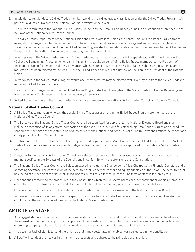- 5. In addition to regular dues, a Skilled Trades member, working in a skilled trades classification under the Skilled Trades Program, will pay annual dues equivalent to one-half hour of regular wages once a year.
- 6. The dues are remitted to the National Skilled Trades Council and the Area Skilled Trades Council in a distribution established in the By-Laws of the National Skilled Trades Council.
- 7. The Skilled Trades Department of the National Union shall work with local unions and bargaining units to establish skilled trades recognition language in collective agreements and to secure additional provisions which safeguard and advance the interests of skilled trades. Local unions or units in the Skilled Trades Program shall submit demands affecting skilled workers to the Skilled Trades Department of the National Union before submitting them to the employer.
- 8. In workplaces in the Skilled Trades Program, Skilled Trades workers may request to vote in separate ratifications as in Article 17 (Collective Bargaining). A local union or bargaining unit may apply, on behalf of its Skilled Trades members, to the President of the National Union for separate balloting on matters which relate exclusively to the Skilled Trades. Where a request for separate ratification has been rejected by the local union the Skilled Trades can request a Review of Decision to the President of the National Union.
- 9. In workplaces in the Skilled Trades Program workplace representatives may be elected exclusively by and from the Skilled Trades to represent Skilled Trades members.
- 10. Local unions and bargaining units in the Skilled Trades Program shall send delegates to the Skilled Trades Collective Bargaining and New Technology Conference which is convened every three years.
- 11. Skilled Trades members in the Skilled Trades Program are members of the National Skilled Trades Council and its Area Councils.

### **National Skilled Trades Council**

- 12. All Skilled Trades members who pay the special Skilled Trades assessment in the Skilled Trades Program are members of the National Skilled Trades Council.
- 13. The By-Laws of the National Skilled Trades Council shall be submitted for approval to the National Executive Board and shall include a description of its objectives, composition of the executive, provisions for establishing Area Councils, rules and procedures, schedule of meetings and the distribution of dues between the National and Area Councils. The By-Laws shall reflect the gender and equity principles of the National Union.
- 14. The National Skilled Trades Council shall be composed of delegates from all Area Councils of the Skilled Trades and where Skilled Trades Area Councils are not established by delegates from other Skilled Trades bodies approved by the National Skilled Trades Council.
- 15. Delegates to the National Skilled Trades Council are selected from Area Skilled Trades Councils and other approved bodies in a manner specified in the By-Laws of the Councils and in conformity with the provisions of the Constitution.
- 16. The National Skilled Trades Council shall elect an executive including a Chairperson, a Vice-Chairperson, a Financial Secretary and a Recording Secretary. The composition of the executive shall reflect the gender and equity principles of the union. The executive shall be elected at a meeting of the National Skilled Trades Council called for that purpose. The term of office is for three years.
- 17. Elections shall conform to the procedures in the Constitution which require secret ballots or other confidential voting systems, runoffs between the top two contenders and election results based on the majority of votes cast on a per capita basis.
- 18. Upon election, the chairperson of the National Skilled Trades Council shall be a member of the National Executive Board.
- 19. In the event of a vacancy in the office of Chairperson, the Vice-Chairperson shall serve as an interim chairperson until an election is conducted at the next scheduled meeting of the National Skilled Trades Council.

# **ARTICLE 14: STAFF**

- 1. An engaged staff is an integral part of Unifor's leadership and activism. Staff shall work with Local Union leadership to advance the interests of the membership in the workplace and the broader community. Staff shall be actively engaged in the political and organizing campaigns of the union and shall work with dedication and commitment to build the union.
- 2. The essential task of staff is to build the Union so that it may better attain the objectives spelled out in the Constitution.
- 3. All staff will conduct themselves in a manner that respects and adheres to the principles of this Union.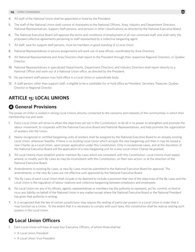- 4. All staff of the National Union shall be appointed or hired by the President.
- 5. The staff of the National Union shall consist of Assistants to the National Officers, Area, Industry and Department Directors, National Representatives, Support Staff persons, and persons in other classifications as directed by the National Executive Board.
- 6. The National Executive Board will approve the terms and conditions of employment of all non-unionized staff, and shall ratify the proposed collective agreements pertaining to staff represented by a collective bargaining agent.
- 7. All staff, save for support staff persons, must be members in good standing of a Local Union.
- 8. National Representatives in service assignments will work out of area offices, coordinated by Area Directors.
- 9. All National Representatives and Area Directors shall report to the President through their respective Regional Directors, or Quebec Director.
- 10. National Representatives in specialized Departments, Department Directors, and Industry Directors shall report directly to a National Officer and work out of a National Union office, as directed by the President.
- 11. No permanent staff person may hold office in a Local Union or subordinate body.
- 12. A staff person, other than support staff, is eligible to be a candidate for, or hold office as President, Secretary Treasurer, Quebec Director or Regional Director.

# **ARTICLE 15: LOCAL UNIONS**

# A **General Provisions**

The power of Unifor is rooted in strong Local Unions directly connected to the concerns and interests of the communities in which their membership live and work.

- 1. Every Local Union will strive to attain the objectives set out in this Constitution; to do all in its power to strengthen and promote the labour movement; to cooperate with the National Executive Board and National Representatives, and help promote the organization of workers into the Union.
- 2. Newly recognized or certified bargaining units of workers shall be assigned by the National Executive Board to an already existing Local Union, whenever feasible. If there is no existing Local Union which accepts the new bargaining unit then it may be issued a new Charter as a Local Union, upon proper application under this Constitution. Only in exceptional cases, and at the discretion of the National Executive Board will the application of a new bargaining unit for a new Local Union Charter be granted.
- 3. All Local Unions must establish and/or maintain By-Laws which are consistent with this Constitution. Local Unions must repeal, amend, or modify such By-Laws as may be inconsistent with this Constitution, on their own action, or at the direction of the National Executive Board.
- 4. Amendments to existing By-Laws, or new By-Laws must be submitted to the National Executive Board for approval. The amendments, or the new By-Laws are not effective until approved by the National Executive Board.
- 5. The By-Laws of each Local Union shall include or be deemed to include a provision that one of the objectives of the By-Laws and the Local Union is the regulation of labour relations and collective bargaining between employers and employees.
- 6. No Local Union nor any of its officers, agents, representatives or members has the authority to represent, act for, commit, or bind or incur any liability on behalf of the National Union in any matter except where the National Executive Board or the National President has given that authority in writing.
- 7. It is recognized that the law of certain jurisdictions may require the vesting of particular powers in a Local Union in order that it may function as a Union. To the extent that it is necessary to comply with such laws, this constitution shall be read as vesting such powers in the Local Union.

# **B Local Union Officers**

- 1. Each Local Union will have at least four Executive Officers, of whom three shall be:
	- A Local Union President
	- A Local Union Vice President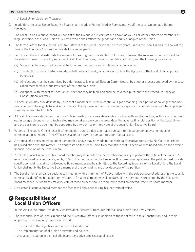- A Local Union Secretary Treasurer
- 2. In addition, the Local Union Executive Board shall include a Retired Worker Representative (if the Local Union has a Retiree Chapter).
- 3. The Local Union Executive Board will consist of the Executive Officers set out above, as well as all other Officers or members-atlarge specified in the Local Union's By-Laws, which shall reflect the gender and equity principles of the Union.
- 4. The term of office for all elected Executive Officers of the Local Union shall be three years, unless the Local Union's By-Laws at the time of the Founding Convention provide for a lesser period.
- 5. Each Local Union shall establish its own set of rules to govern the election of Officers, however, the rules must be consistent with the rules outlined in the Policy regarding Local Union Elections, made by the National Union, and the following provisions:
	- (a) Votes shall be conducted by secret ballot or another secure and confidential voting system.
	- (b) The election of a nominated candidate shall be by a majority of votes cast, unless the By-Laws of the Local Union stipulate otherwise.
	- (c) All elections must be supervised by a democratically elected Election Committee, or by another process approved by the Local Union membership or the President of the National Union.
	- (d) An appeal with respect to Local Union elections may be filed, and shall be governed pursuant to the Procedure Policy on Constitutional Matters.
- 6. A Local Union may provide in its By-Laws that a member must be in continuous good standing, for a period of no longer than one year, in order to be eligible to seek or hold office. The By-Laws of the Local Union may specify the conditions of membership in good standing, subject to Article 5.
- 7. A Local Union may abolish an Executive Officer position, or consolidate such a position with another as long as those positions set out in paragraph one remain. Such a step may be taken solely on the grounds of the adverse financial position of the Local Union, and the decision to do so must be supported by a two thirds or more vote of the Local Union Executive Board.
- 8. Where an Executive Officer loses his/her position due to a decision made pursuant to the paragraph above, no notice or compensation is required if the Officer has a job to return to pursuant to a contractual leave.
- 9. An appeal of a decision made under Paragraph 7 above may be made to the National Executive Board only. No Court or Tribunal has jurisdiction over the matter. The onus rests on the Local Union to demonstrate that its decision was based only on the adverse financial position of the Local Union.
- 10. An elected Local Union Executive Board member may be recalled by the members for failing to perform the duties of their office. A recall is initiated by a petition signed by 25% of the members that the Executive Board member represents. The petition must provide specific complaints against the Executive Board member and be submitted to the Recording Secretary of the Local Union. The Local Union shall notify the Executive Board member of the complaints and provide a copy of the petition.
- 11. The Local Union shall call a special recall meeting with a minimum of 7 days notice with the sole purpose of addressing the specific complaints identified in the petition. A quorum for a recall meeting shall be 50% of the members represented by the Executive Board member. A two thirds majority vote of those present shall be required to recall an elected Executive Board member.
- 12. An elected Executive Board member can face recall only once during his/her term of office.

### C **Responsibilities of Local Union Officers**

- 1. In this Article the terms President, Vice President, Secretary Treasurer refer to Local Union Executive Officers.
- 2. The responsibilities of Local Unions and their Executive Officers, in addition to those set forth in this Constitution, and in their respective Local Union By-Laws shall include:
	- The pursuit of the objectives set out in this Constitution.
	- The implementation of all Union programs and policies.
	- Active participation in political affairs and legislative processes at all levels.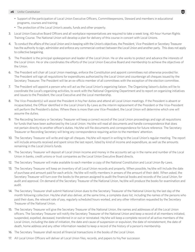- Support of the participation of Local Union Executive Officers, Committeepersons, Steward and members in educational programs, courses and training.
- The protection of the Local Union's assets, funds and other property.
- 3. Local Union Executive Board Officers and all workplace representatives are required to take a week long, 40-hour Human Rights Training Course. The National Union will develop a plan for delivery of this course in concert with Local Unions.
- 4. To conduct the affairs of the Local Union and in keeping with the Union's objectives, the President, Vice-President or Secretary Treasurer has the authority to sign, administer and enforce any commercial contract between the Local Union and another party. This does not apply to collective bargaining.
- 5. The President is the principal spokesperson and leader of the Local Union. He or she works to protect and advance the interests of the Local Union. He or she coordinates the efforts of the Local Union Executive Board and membership to achieve the objectives of the Union.
- 6. The President will chair all Local Union meetings, enforce the Constitution and appoint committees not otherwise provided for. The President will sign all requisitions for expenditures authorized by the Local Union and countersign all cheques issued by the Secretary Treasurer. The President will be an ex-officio member of all committees with the exception of the election committee.
- 7. The President will appoint a person who will act as the Local Union's organizing liaison. The Organizing liaison's duties will be to coordinate the Local's organizing activities, to work with the National Organizing Department and to report on organizing initiatives and issues to the President, the Local Executive and the Local membership.
- 8. The Vice-President(s) will assist the President in his/her duties and attend all Local Union meetings. If the President is absent or incapacitated, the Officer identified in the Local Union's By-Laws as the interim replacement of the President or the Vice-President will perform the President's duties. Where there is more than one Vice-President, the Local Union will determine which one will assume the duties.
- 9. The Recording Secretary or Secretary Treasurer will keep a correct record of the Local Union proceedings and sign all requisitions for funds that have been authorized by the Local Union. He/she will read all documents and handle correspondence that does not pertain directly to another officer's duties. He/she will file documents and correspondence for future reference. The Secretary Treasurer or Recording Secretary will bring any correspondence requiring action to the members' attention.
- 10. The Secretary Treasurer will write and sign all cheques. He/she will report in writing to the Local Union's regular meeting. The report will include amounts received and spent since the last report, listed by kind of income and expenditure, as well as the amounts remaining in the Local Union's funds.
- 11. The Secretary Treasurer will deposit all Local Union income and money in the accounts set up in the name and number of the Local Union in banks, credit unions or trust companies as the Local Union Executive Board directs.
- 12. The Secretary Treasurer will make available to each member a copy of the National Constitution and Local Union By-Laws.
- 13. The Secretary Treasurer will keep an inventory of all Local Union records and property. When possible, he/she will include the date of purchase and amount paid for each article. He/she will notify members in arrears of the amount of their debt. When asked, the Secretary Treasurer will turn over the books to the person assigned to audit the financial books and records of the Local Union, for audit and approval. On demand of the Secretary Treasurer of the National Union, he/she will produce the books for examination and audit.
- 14. The Secretary Treasurer shall submit National Union dues to the Secretary Treasurer of the National Union by the last day of the month following collection. He/she shall also deliver, at the same time, a complete dues list, including the names of the persons who paid their dues, the relevant rate of pay, regularly scheduled hours worked, and any other information requested by the Secretary Treasurer of the National Union.
- 15. The Secretary Treasurer will give the Secretary Treasurer of the National Union, the names and addresses of all the Local Union officers. The Secretary Treasurer will notify the Secretary Treasurer of the National Union and keep a record of all members initiated, suspended, expelled, deceased, transferred in or out or reinstated. He/she will keep a complete record of all active members of the Local Union, including the date of initiation, the date and cause of suspension or expulsion, the date of reinstatement, the date of death, home address and any other information needed to keep a record of the history of a person's membership.
- 16. The Secretary Treasurer shall record all financial transactions in the books of the Local Union.
- 17. All Local Union Officers will deliver all Local Union files, records, and papers to his/her successor.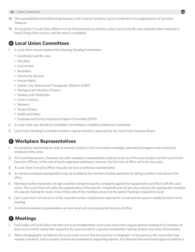- 18. The responsibilities of the Recording Secretary and Financial Secretary may be combined in the single position of Secretary Treasurer.
- 19. All vacancies in Local Union offices must be filled promptly by election, unless Local Union By-Laws stipulate other means for a timely filling of the vacancy until the term is completed.

### D **Local Union Committees**

- 1. A Local Union should establish the following Standing Committees:
	- Constitution and By-Laws
	- Education
	- Environment
	- Recreation
	- Community Services
	- Human Rights
	- Lesbian, Gay, Bisexual and Transgender Workers (LGBT)
	- Aboriginal and Workers of Colour
	- Workers with Disabilities
	- Union in Politics
	- Women's
	- Young Workers
	- Health and Safety
	- Employee and Family Assistance Program Committee (EFAP)
- 2. A Local Union may decide to consolidate Committees or establish additional Committees.
- 3. Local Union Standing Committee members may be elected or appointed by the Local Union Executive Board.

### E **Workplace Representatives**

- 1. All workplace representatives shall be actively involved in the issue-based campaigns, educational programs and community initiatives of the union.
- 2. All Committee persons, Stewards and other workplace representatives shall serve terms of the same duration as their Local Union Executive Officers. In the case of newly organized workplaces, however, the first term of office will be for two years.
- 3. A Local Union Executive Officer may also serve as a workplace representative.
- 4. An elected workplace representative may be recalled by the members he/she represents for failing to perform the duties of the office.
- 5. Members he/she represents will sign a petition listing the specific complaints against the representative and file it with the Local Union. The Local Union will notify the representative of the specific complaints and will give due notice to the represented members of a special meeting for recall. A two-thirds vote of the members present at the special meeting is required to recall.
- 6. Each Local Union will set out in its By-Laws the number of petitioners required for a recall and the quorum needed to hold a recall meeting.
- 7. An elected workplace representative can face recall only once during her/his term of office.

# **A** Meetings

- 1. Each single unit Local Union and each unit of an amalgamated Local Union must hold a regular general meeting of its members at least once a month unless their respective By-Laws provide for a general membership meeting at least once every three months.
- 2. When the geographic jurisdiction of a Local Union is such that the provision in Paragraph 1 is not practical, the Local Union may request a variation. Such a request must be accompanied by supporting reasons. Any National Executive Board approval shall be in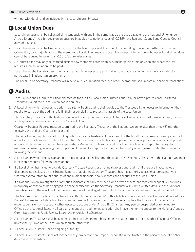writing, with detail, and be included in the Local Union's By-Laws.

### G **Local Union Dues**

- 1. Local Union dues shall be collected simultaneously with and in the same way as the dues payable to the National Union under Article 10 and Article 16. Local union dues are in addition to national dues of 0.735% and Regional Council and Quebec Council dues of 0.0135%.
- 2. Local Union dues shall be fixed at a minimum of the level in place at the time of the Founding Convention. After the Founding Convention, by a majority vote of the members, a Local Union may set Local Union dues higher or lower, however Local Union dues cannot be reduced to lower than 0.6015% of regular wages.
- 3. An initiation fee may only be charged against new members entering an existing bargaining unit, or when and where the law requires such an initiation fee be paid.
- 4. Local Unions shall establish such Funds and accounts as necessary and shall ensure that a portion of revenue is allocated to participate in National Union programs.
- 5. The Local Union Secretary Treasurer will receive all dues, initiation fees, and other income, and shall record all financial transactions.

# **CD** Audits

- 1. Local Unions shall submit their financial records for audit by Local Union Trustees quarterly, or have a professional Chartered Accountant audit their Local Union books annually.
- 2. A Local Union which chooses to perform quarterly Trustee audits shall provide to the Trustees all the necessary information they require to carry out the audit and fulfill their responsibility to protect the assets of the Local Union.
- 3. The Secretary Treasurer of the National Union will develop and make available to Local Unions a standard form which may be used to file quarterly Trustees Reports to the National Union.
- 4. Quarterly Trustees Reports must be submitted to the Secretary Treasurer of the National Union no later than three (3) months following the end of a Quarter or year end.
- 5. The Local Union may choose not to hold quarterly audits by Trustees if it has an audit of the Local Union's financial books performed annually by a professional Chartered Accountant. A Local Union which chooses to perform an annual professional audit shall provide a Financial Statement to the membership quarterly. An annual professional audit shall be the subject of a report to the regular membership meeting following the completion of the audit, or reported to the membership by other means no later than 3 months following the year end.
- 6. A Local Union which chooses an annual professional audit shall submit the audit to the Secretary Treasurer of the National Union no later than 3 months following the year end.
- 7. If a Local Union has failed to provide Quarterly Trustee Reports or an annual professional audit, or if there are inaccuracies or discrepancies disclosed by the Trustee Reports or audit, the Secretary Treasurer has the authority to assign a representative or Chartered Accountant to take charge of and audit all financial books, records and accounts of the Local Union.
- 8. If a National Union investigation or any audit indicates that any member, alone or with others, has received or spent Union funds improperly or otherwise had engaged in financial misconduct, the Secretary Treasurer will submit written details to the National Executive Board. These will include the exact nature of the alleged misconduct, the amount involved and when it happened.
- 9. The National Executive Board shall have the authority under Section M of this Article (Supervision of Local Unions and Subordinate Bodies) to take immediate action to suspend or remove Officers of the Local Union or to place the finances of the Local Union under supervision, or to take any other necessary actions under Article 18 (Charges). Any person suspended or removed from Office by the National Executive Board arising out of an audit or investigation shall have the right to appeal to the National Appeals Committee and the Public Review Board under Article 18 (Charges).
- 10. A Local Union Trustee(s) shall be elected by the Local Union membership for the same term of office as other Executive Officers, unless the By-Laws of the Local Union stipulate otherwise.
- 11. A Local Union Trustee(s) has no signing authority.
- 12. A Local Union Trustee(s) shall act independently. No person shall impede or constrain the Trustee in the performance of his/her duties under this Article.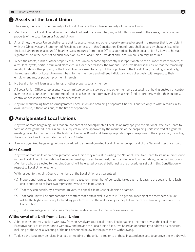### I **Assets of the Local Union**

- 1. The assets, funds, and other property of a Local Union are the exclusive property of the Local Union.
- 2. Membership in a Local Union does not and shall not vest in any member, any right, title, or interest in the assets, funds or other property of the Local Union or National Union.
- 3. At all times, the Local Union shall ensure that its assets, funds and other property are used or spent in a manner that is consistent with the Objectives and Statement of Principles expressed in this Constitution. Expenditures shall be paid by cheques issued by the Local Union on its account(s) bearing two signatures from those Officers authorized by their Local Union By-Laws to be such signatories, or in the event of no such provision, by the Local Union President and Local Union Secretary Treasurer.
- 4. When the assets, funds or other property of a Local Union become significantly disproportionate to the number of its members, as a result of layoffs, partial or full workplace closures, or other reasons, the National Executive Board shall ensure that the remaining assets, funds or other property of the Local Union are used to carry out the objectives of the Local Union, including, specifically, the representation of Local Union members, former members and retirees individually and collectively, with respect to their employment and/or post-employment interests.
- 5. No Local Union will loan assets, funds, or other property to any member.
- 6. All Local Union Officers, representative, committee persons, stewards, and other members possessing or having custody or control over the assets, funds or other property of the Local Union must turn over all such assets, funds or property within their custody, control or possession forthwith to their successors.
- 7. Any unit withdrawing from an Amalgamated Local Union and obtaining a separate Charter is entitled only to what remains in its own unit fund, if there was one, at the time of separation.

# **O** Amalgamated Local Unions

- 1. Any two or more bargaining units that are not part of an Amalgamated Local Union may apply to the National Executive Board to form an Amalgamated Local Union. This request must be approved by the members of the bargaining units involved at a general meeting called for that purpose. The National Executive Board shall take appropriate steps in response to the application, including the issuance of an Amalgamated Local Union Charter.
- 2. A newly organized bargaining unit may be added to an Amalgamated Local Union upon approval of the National Executive Board.

### **Joint Council**

- 3. Any two or more units of an Amalgamated Local Union may request in writing the National Executive Board to set up a Joint Council in their Local Union. If the National Executive Board approves the request, the Local Union will, without delay, set up a Joint Council. Members who are elected to the Joint Council will be elected by secret ballot using the procedures set out in this Constitution with respect to Local Union elections.
- 4. With respect to the Joint Council, members of the Local Union are guaranteed:
	- (a) Proportional representation from each unit, based on the number of per capita taxes each unit pays to the Local Union. Each unit is entitled to at least two representatives to the Joint Council.
	- (b) That they can decide, by a referendum vote, to appeal a Joint Council decision or action.
	- (c) That each unit will be autonomous on matters that pertain exclusively to it. The general meeting of the members of a unit will be the highest authority for handling problems within the unit as long as they follow their Local Union By-Laws and this Constitution.
	- (d) That a percentage of a unit's dues may be set aside in a fund for the unit's exclusive use.

### **Withdrawal of a Unit from a Local Union**

- 5. A bargaining unit may seek to withdraw from an Amalgamated Local Union. The bargaining unit must advise the Local Union Executive Board of its intention to withdraw and provide the Local Union Executive Board an opportunity to address its concerns, including at the Special Meeting of the unit described below for the purpose of withdrawing.
- 6. To do so the issue may be raised in a regular meeting of the unit. If a majority of those in attendance vote to approve the withdrawal,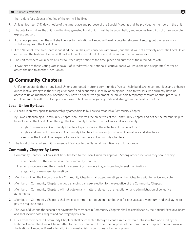then a date for a Special Meeting of the unit will be fixed.

- 7. At least fourteen (14) day's notice of the time, place and purpose of the Special Meeting shall be provided to members in the unit.
- 8. The vote to withdraw the unit from the Amalgamated Local Union must be by secret ballot, and requires two thirds of those voting to express support.
- 9. If the vote passes, then the unit shall deliver to the National Executive Board, a detailed statement setting out the reasons for withdrawing from the Local Union.
- 10. If the National Executive Board is satisfied the unit has just cause for withdrawal, and that it will not adversely affect the Local Union or the unit, the National Executive Board will direct a secret ballot referendum vote of the unit members.
- 11. The unit members will receive at least fourteen days notice of the time, place and purpose of the referendum vote.
- 12. If two thirds of those voting vote in favour of withdrawal, the National Executive Board will issue the unit a separate Charter or assign the unit to another Local Union.

### K **Community Chapters**

1. Unifor understands that strong Local Unions are rooted in strong communities. We can help build strong communities and enhance our collective strength in the struggle for social and economic justice by opening our Union to workers who currently have no access to union membership, because they have no collective agreement, or job, or hold temporary contract or other precarious employment. This effort will support our drive to build new bargaining units and strengthen the heart of the Union.

### **Local Union By-Laws**

- 2. A Local Union may open its membership by amending its By-Laws to establish a Community Chapter.
- 3. By-Laws establishing a Community Chapter shall express the objectives of the Community Chapter and define the membership to be included in the Local Union through the Community Chapter. The By-Laws shall also specify:
	- The right of members in Community Chapters to participate in the activities of the Local Union.
	- The rights and limits of members in Community Chapters to voice and/or vote in Union affairs and structures.
	- The services the Local Union expects to provide members in Community Chapters.
- 4. The Local Union shall submit its amended By-Laws to the National Executive Board for approval.

### **Community Chapter By-Laws**

- 5. Community Chapter By-Laws shall be submitted to the Local Union for approval. Among other provisions they shall specify:
	- The composition of the executive of the Community Chapter.
	- Election procedures and the criteria for determining members in good standing to seek nominations.
	- The regularity of membership meetings.
- 6. Members joining the Union through a Community Chapter shall attend meetings of their Chapters with full voice and vote.
- 7. Members in Community Chapters in good standing can seek election to the executive of the Community Chapter.
- 8. Members in Community Chapters will not vote on any matters related to the negotiation and administration of collective agreements.
- 9. Members in Community Chapters shall make a commitment to union membership for one year, at a minimum, and shall agree to pay the requisite dues.
- 10. The level of dues and the schedule of payments for members in Community Chapters shall be established by the National Executive Board and shall include both a waged and non-waged provision.
- 11. Dues from members in Community Chapters shall be collected through a centralized electronic infrastructure operated by the National Union. The dues will be remitted to the Local Union to further the purposes of the Community Chapter. Upon approval of the National Executive Board a Local Union can establish its own dues collection system.

Ū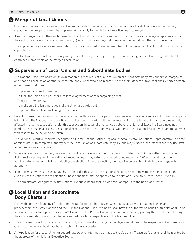### L **Merger of Local Unions**

- 1. Unifor encourages the mergers of Local Unions to create stronger Local Unions. Two or more Local Unions, upon the majority support of their respective membership, may jointly apply to the National Executive Board to merge.
- 2. If such a merger occurs, then each former applicant Local Union shall be entitled to maintain the same delegate representation at the next Convention and at Canadian Council, Quebec Council or Regional Council for the period until the next Convention.
- 3. The supplementary delegate representation must be comprised of elected members of the former applicant Local Unions on a per capita basis.
- 4. The total votes to be cast by the newly merged Local Union, including the supplementary delegates, shall not be greater than the combined membership of the merged Local Union.

### M **Supervision of Local Unions and Subordinate Bodies**

- 1. The National Executive Board on its own motion or at the request of a Local Union or subordinate body may supervise, reorganize or disband a Local Union or other subordinate body, in the whole or in part, suspend their Officers or take back their Charter notably under these conditions:
	- To prevent or correct corruption.
	- To fulfill the union's duties under a collective agreement or as a bargaining agent.
	- To restore democracy.
	- To make sure the legitimate goals of the Union are carried out.
	- To protect the rights or well being of members.
- 2. Except in cases of emergency such as where the health or safety of a person is endangered or a significant loss of money or property is imminent, the National Executive Board must conduct a hearing with representation from the Local Union or subordinate body affected in order to take action under this subsection. In cases of emergency as above, the National Executive Board need not conduct a hearing. In all cases, the National Executive Board shall confer, and two thirds of the National Executive Board must agree with respect to the action to be taken.
- 3. The National Executive Board will designate a full-time National Officer, Regional or Area Director, or National Representative to be the administrator with complete authority over the Local Union or subordinate body. He/she may suspend local officers and may use staff to help supervise local affairs.
- 4. Where officers are suspended, new elections will take place as soon as possible and no later than 180 days after the suspension. If circumstances require it, the National Executive Board may extend the period for no more than 120 additional days. The administrator is responsible for conducting the election. After the election, the Local Union or subordinate body will regain its autonomy.
- 5. If an officer is removed or suspended by action under this Article, the National Executive Board may impose conditions on the eligibility of the Officer to seek election. These conditions may be appealed to the National Executive Board under Article 18.
- 6. The administrator designated by the National Executive Board shall provide regular reports to the Board as directed.

### N **Local Union and Subordinate Body Charters**

- 1. Forthwith upon the founding of Unifor, and the ratification of the Merger Agreements between this National Union and its predecessors, the CAW-Canada and the CEP, the National Executive Board shall have the authority, on behalf of this National Union, to issue a Charter to all predecessor CAW-Canada and CEP Local Unions or subordinate bodies, granting them and/or confirming their successor status as a Local Union or subordinate body respectively of the National Union.
- 2. The successor Local Unions or subordinate body shall have all of the rights, privileges and duties of the respective CAW-Canada or CEP Local Union or subordinate body to which it has succeeded.
- 3. An Application for a Local Union or subordinate body charter may be made to the Secretary Treasurer. A charter shall be granted by the approval of the National Executive Board.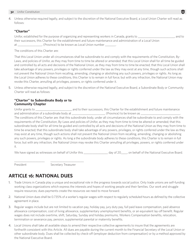4. Unless otherwise required legally, and subject to the discretion of the National Executive Board, a Local Union Charter will read as follows:

#### **"Charter"**

Unifor, established for the purpose of organizing and representing workers in Canada, grants to \_\_\_\_\_\_\_\_\_\_\_\_\_\_\_\_\_\_\_\_\_\_\_\_, and to their successors, this Charter for the establishment and future maintenance and administration of a Local Union at \_\_\_\_\_\_\_\_\_\_\_\_\_\_\_\_\_, (Province) to be known as Local Union number \_\_

The conditions of this Charter are:

That this Local Union under all circumstances shall be subordinate to and comply with the requirements of the Constitution, By-Laws, and policies of Unifor, as they may from time to time be altered or amended; that this Local Union shall for all time be guided and controlled by all acts and decisions of the National Union, as they may from time to time be enacted; that this Local Union shall take advantage of any powers, privileges or rights conferred under the law as they may exist at any time, though such actions shall not prevent the National Union from recalling, amending, changing or abolishing any such powers, privileges or rights. As long as the Local Union adheres to these conditions, this Charter is to remain in full force; but with any infraction, the National Union may revoke this Charter, annulling all privileges, powers, or rights conferred under it.

5. Unless otherwise required legally, and subject to the discretion of the National Executive Board, a Subordinate Body or Community Charter will read as follows:

#### **"Charter" to Subordinate Body or to Community Chapter**

Unifor grants to \_\_\_\_\_\_\_\_\_\_\_\_\_\_\_\_\_\_\_\_\_\_\_\_ and to their successors, this Charter for the establishment and future maintenance and administration of a subordinate body at \_\_\_\_\_\_\_\_\_\_\_\_\_\_\_\_\_\_\_\_\_\_\_\_\_\_\_\_\_(Province) to be known as \_ The conditions of this Charter are: that this subordinate body, under all circumstances shall be subordinate to and comply with the requirements of the Constitution, By-Laws and policies of Unifor, as they may from time to time be altered or amended; that this subordinate body shall for all time be guided and controlled by all acts and decisions of the National Union as they may from time to time be enacted; that this subordinate body shall take advantage of any powers, privileges, or rights conferred under the law as they may exist at any time, though such actions shall not prevent the National Union from recalling, amending, changing or abolishing any such powers, privileges or rights. As long a the subordinate body adheres to these conditions, this Charter is to remain in full force; but with any infraction, the National Union may revoke this Charter annulling all privileges, powers, or rights conferred under it.

We have signed as witnesses on behalf of Unifor this day of 20 and behalf of the National Executive Board.

President Secretary Treasurer

### **ARTICLE 16: NATIONAL DUES**

\_\_\_\_\_\_\_\_\_\_\_\_\_\_\_\_\_\_\_\_ \_\_\_\_\_\_\_\_\_\_\_\_\_\_\_\_\_\_\_\_\_\_

- 1. Trade Unions in Canada play a unique and exceptional role in the progress towards social justice. Only trade unions are self-funding working class organizations which express the interests and hopes of working people and their families. Our work and struggle require resources; dues payments create the resources we need to move forward.
- 2. National Union dues shall be 0.735% of a worker's regular wages with respect to regularly scheduled hours as defined by the collective agreement in place.
- 3. Regular wages include but are not limited to vacation pay, holiday pay, jury duty pay, full paid leave compensation, paid absence allowance compensation, cost of living allowance, supplementary unemployment benefits, or an equivalent lay-off benefit. Regular wages does not include overtime, shift, Saturday, Sunday and holiday premiums, Workers Compensation benefits, relocation, termination or severance pay, pension, supplemental parental or maternity benefits.
- 4. Local Unions shall take all available steps to amend their respective collective agreements to insure that the agreements are forthwith consistent with this Article. All dues are payable during the current month to the Financial Secretary of the Local Union or other subordinate body. Dues shall be collected by check-off (employer deduction from compensation) or by a method approved by the National Executive Board.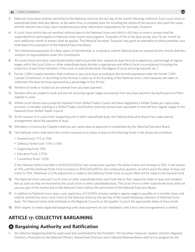- 5. National Union dues shall be submitted to the National Union by the last day of the month following collection. Each Local Union or subordinate body shall also deliver, at the same time, a complete dues list including the names of the persons who paid their dues, and the relevant rate of pay, hours worked and any other information requested by the Secretary Treasurer.
- 6. A Local Union which has not remitted national dues to the National Union and which is 60 days or more in arrears shall be suspended from participation in National Union events and programs. A penalty of 5% of the dues owing, plus 1% per month for each additional month of arrears, shall be applied. The National Secretary Treasurer may grant an exemption to these penalties, and shall report this exemption to the National Executive Board.
- 7. The intentional preparation of a false report of membership, or a refusal to submit National dues as required by this Article shall be a violation of responsibilities under this Constitution.
- 8. All Local Unions and other subordinate bodies shall ensure that their respective dues formula is applied as a percentage of regular wages which the Local Union or other subordinate body decides is appropriate and reflects local circumstances (including the proportion of part-time members in the Local, or subordinate body, the degree of Local servicing required, etc.)
- 9. Former CAW-Canada members shall continue to pay Local dues according to the formula expressed under the former CAW-Canada Constitution, or according to the formula in place as of the founding of the National Union, until measures are taken to implement the dues formula expressed as a percentage in this Article.
- 10. Workers on strike or locked out are exempt from any dues payment.
- 11. Workers who are unable to work and are not receiving regular wages are exempt from any dues payment during the period of their inability to work.
- 12. Where Local Unions have joined the National Union Skilled Trades Council and have negotiated a Skilled Trades per capita dues provision, a member working in a Skilled Trades classification shall pay annual dues equivalent to one half hour regular wages to the National Union Skilled Trades Council.
- 13. At the request of a Local Union, bargaining unit or other subordinate body, the National Executive Board may make special arrangements about the payment of dues.
- 14. Members in Community Chapters shall pay per capita dues as approved or established by the National Executive Board.
- 15. The National Union shall direct the monies received as its share of dues to the following funds in the shares set out below:
	- General Fund: 77.5 or 75%
	- Defence/Strike Fund: 7.5% or 10%
	- Organizing Fund: 10%
	- Education Fund: 3.75%
	- Convention Fund: 1.25%

If the Defense/Strike Fund falls to \$140,000,000 for two consecutive quarters, the share of dues will increase to 10%. It will remain at 10% until the Defense/Strike Fund increases to \$155,000,000 for two consecutive quarters, at which point the share of dues will revert to 75%. Whenever a 2.5% adjustment is made to the Defence/Strike Fund, an equal offset will be made to the General Fund.

- 16. The National Union and each Local Union or other subordinate body each hold title to their respective share of dues and initiation fees as soon as they are received by the Local Union or other subordinate body. The Local Union or other subordinate body shall not use any part of the monies due to the National Union without the permission of the National Executive Board.
- 17. In addition to National Union dues, a per capita levy of 0.0135% of every worker's regular wages is payable on a monthly basis, and shall be remitted by every Local Union to the National Union by the last day of the month following collection of National Union dues. The National Union shall distribute to the Regional Councils or the Quebec Council, the appropriate share of these funds.
- 18. With respect to newly organized bargaining units dues payment are not mandatory until a first collective agreement is ratified.

# **ARTICLE 17: COLLECTIVE BARGAINING**

# A **Bargaining Authority and Ratification**

1. All collective bargaining shall be supervised and coordinated by the President. The Secretary Treasurer, Quebec Director, Regional Directors, Assistants to the National Officers, Department Directors and a National Representative shall act as assigned by the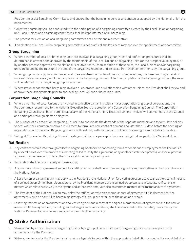President to assist Bargaining Committees and ensure that the bargaining policies and strategies adopted by the National Union are implemented.

- 2. Collective bargaining shall be conducted with the participation of a bargaining committee elected by the Local Union or bargaining unit. Local Unions and bargaining committees shall be kept informed of all bargaining.
- 3. The process for election of local bargaining committees shall be fair and representative.
- 4. If an election of a Local Union bargaining committee is not practical, the President may approve the appointment of a committee.

### **Group Bargaining**

- 5. Where a number of locals or bargaining units are involved in a bargaining group, rules and ratification procedures shall be determined in advance and approved by the membership of the Local Unions or bargaining units (or their respective delegates) or by another process approved by the National Executive Board. Upon adoption of these rules, the Local Unions and/or bargaining units are bound by the rules until the end of the bargaining round or until released from their commitments by the bargaining group.
- 6. When group bargaining has commenced and rules are absent or fail to address substantive issues, the President may amend or impose rules as necessary until the completion of the bargaining process. After the completion of the bargaining process, the rules will be referred to the bargaining group for adoption.
- 7. Where group or coordinated bargaining involves rules, procedures or relationships with other unions, the President shall review and approve these arrangements prior to approval by Local Unions or bargaining units.

### **Corporation Bargaining Councils**

- 8. Where a number of Local Unions are involved in collective bargaining with a major corporation or group of corporations, the President may recommend to the National Executive Board the creation of a Corporation Bargaining Council. The Corporation Bargaining Council shall be an administrative arm of the National Union. The Local Unions involved will be members of the Council and participate through elected delegates.
- 9. The purpose of a Corporation Bargaining Council is to coordinate the demands of the separate members and to formulate policies to deal with their common employer. It will meet to formulate new contract demands no later than 30 days before the opening of negotiations. A Corporation Bargaining Council will deal only with matters and policies concerning its immediate corporation.
- 10. Voting at Corporation Bargaining Council meetings shall be on a per capita basis according to dues paid to the National Union.

### **Ratification**

- 11. Any contract entered into through collective bargaining or otherwise concerning terms of conditions of employment shall be ratified by a secret ballot vote of members at a meeting called to ratify the agreement, or by another established process, or special process approved by the President, unless otherwise established or required by law.
- 12. Ratification shall be by a majority of those voting.
- 13. Any memorandum of agreement subject to a ratification vote shall be written and signed by representatives of the Local Union and the National Union.
- 14. A Local Union or bargaining unit may apply to the President of the National Union for a voting procedure to recognize the distinct interests of a defined group of members. Upon approval by the President, members of the defined group can vote in separate ratifications on matters which relate exclusively to their group and at the same time, vote also on common matters in the memorandum of agreement.
- 15. The President of the National Union may delay the ratification vote on a memorandum of agreement if it is deemed that the agreement would be harmful to bargaining strategy of a group or sector, or to the union as a whole.
- 16. Following ratification or amendment of a collective agreement, a copy of the signed memorandum of agreement and the new or revised collective agreement, including revised wages and classifications, shall be forwarded to the Secretary Treasurer by the National Representative who was engaged in the collective bargaining.

# **B** Strike Authorization

- 1. Strike action by a Local Union or Bargaining Unit or by a group of Local Unions and Bargaining Units must have prior strike authorization by the President.
- 2. Strike authorization by the President shall require a legal strike vote within the appropriate jurisdiction conducted by secret ballot or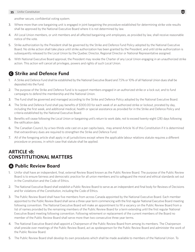another secure, confidential voting system.

- 3. Where more than one bargaining unit is engaged in joint bargaining the procedure established for determining strike vote results shall be approved by the National Executive Board where it is not determined by law.
- 4. All Local Union members, or unit members and all affected bargaining unit employees, as provided by law, shall receive reasonable notice of the vote.
- 5. Strike authorization by the President shall be governed by the Strike and Defence Fund Policy adopted by the National Executive Board. No strike action shall take place until strike authorization has been granted by the President, and until strike authorization is subsequently released to the Local Union by the Quebec Director, Regional Director or National Representative assigned.
- 6. With National Executive Board approval, the President may revoke the Charter of any Local Union engaging in an unauthorized strike action. This action will cancel all privileges, powers and rights of such Local Union.

### **Q Strike and Defence Fund**

- 1. A Strike and Defence Fund shall be established by the National Executive Board and 7.5% or 10% of all National Union dues shall be deposited into the Fund.
- 2. The purpose of the Strike and Defence Fund is to support members engaged in an authorized strike or a lock out, and to fund campaigns to defend the membership and the National Union.
- 3. The Fund shall be governed and managed according to the Strike and Defence Policy adopted by the National Executive Board.
- 4. The Strike and Defence Fund shall pay benefits of \$300.00 for each week of an authorized strike or lockout, prorated by day, including the first week, and additional medical, health or special assistance as provided for in the Strike and Defence Policy and criteria established by the National Executive Board.
- 5. Benefits will cease following the Local Union or bargaining unit's return to work date, not to exceed twenty-eight (28) days following the ratification date.
- 6. The Canadian Council, by a two-thirds vote cast on a per capita basis, may amend Article 16 of this Constitution if it is determined that extraordinary dues are required to strengthen the Strike and Defence Fund.
- 7. All of the foregoing article shall apply in all jurisdictions except where the applicable labour relations statute requires a different procedure or process, in which case that statute shall be applied.

### **ARTICLE 18: CONSTITUTIONAL MATTERS**

### A **Public Review Board**

- 1. Unifor shall have an independent, final, external Review Board known as the Public Review Board. The purpose of the Public Review Board is to ensure fairness and democratic practice for all union members and to safeguard the moral and ethical standards set out in the Constitution and the Code of Ethics.
- 2. The National Executive Board shall establish a Public Review Board to serve as an independent and final body for Reviews of Decisions and for violations of the Constitution, including the Code of Ethics.
- 3. The Public Review Board shall have five members from across Canada appointed by the National Executive Board. Each member appointed to the Public Review Board shall serve a three-year term commencing with the first regular National Executive Board meeting following convention. The National Executive Board will make an appointment to fill a vacancy on the Public Review Board from a list of names provided by the remaining members of the Public Review Board for a term extending until the first regular National Executive Board meeting following convention. Following retirement or replacement of the current members of the Board no member of the Public Review Board shall serve more than two consecutive three year terms.
- 4. The National Executive Board shall appoint a Chairperson of the Public Review Board from among its members. The Chairperson shall preside over meetings of the Public Review Board, act as spokesperson for the Public Review Board and administer the work of the Public Review Board.
- 5. The Public Review Board shall develop its own procedures which shall be made available to members of the National Union. To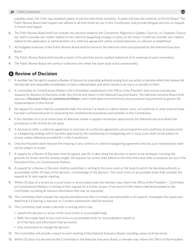expedite cases, the Chair may establish panels of not less than three members. A panel will have the authority of the full Board. The Public Review Board shall respect and adhere to all time limits set out in this Constitution, and provide bilingual services on request in French and English.

- 6. The Pubic Review Board shall not consider any decision made by the Convention, Regional or Quebec Councils, or Canadian Council, nor shall it consider any matter related to the collective bargaining strategy or policy of the Union. It shall not consider any matters related to the application or administration of a collective agreement unless unreasonableness or collusion is established.
- 7. All budgeted expenses of the Public Review Board shall be borne by the National Union and approved by the National Executive Board.
- 8. The Public Review Board shall provide a report of its activities and an audited statement of its expenses to each convention.
- 9. The Public Review Board will overturn a decision only when the lower body acted unreasonably.

# **B** Review of Decision

- 1. A member has the right to request a Review of Decision by a deciding authority arising from any action or decision which they believe did not have fair and reasonable consideration or lacks a rational basis, and which results in an injury or penalty to them.
- 2. A Committee on Constitutional Matters (the Committee) established in the Office of the President shall receive and process requests for Reviews of Decisions under this Article and report to the National Executive Board. The National Executive Board shall approve a *Procedure Policy on Constitutional Matter*s which shall determine time limits and procedural requirements to govern the implementation of this Article.
- 3. No request for review shall be considered under this Article if a resort to a labour board, court, civil authority or other external body has been commenced prior to exhausting the constitutional procedures and remedies in this Constitution.
- 4. If the members of a Local Union have an alternate review or appeal mechanism approved by the National Executive Board the procedures in this Article do not apply.
- 5. A decision to ratify a collective agreement or provision of a collective agreement concerning terms and conditions of employment, or a bargaining strategy which has been approved by the membership of a bargaining unit or local union shall not be subject to review, unless otherwise provided for in this Constitution.
- 6. Only the President shall interpret the meaning of any contract or collective bargaining agreement and any such interpretation shall not be subject to review.
- 7. A request for a Review of Decision must be signed, specific in describing the decision or action to be reviewed, including the grounds for review and the remedy sought. All requests for review shall adhere to the time limits and other procedures set out in the Procedure Policy on Constitutional Matters.
- 8. A request for a Review of Decision shall be submitted in writing to the local union or the body to which the deciding authority is accountable within 30 days of the decision, or knowledge of the decision. The Local Union or accountable body shall consider the request at its next regular meeting.
- 9. Within 30 days of a review by a Local Union or accountable body the member may inform the Office of the President Committee on Constitutional Matters in writing of their request for a further review. A full record of the matter shall be forwarded to the Committee, including all relevant information that may be requested.
- 10. The Committee shall consider the request and determine that it is timely and admissible in all respects, investigate the issues and determine if a hearing is required, or if written submissions shall be received.
- 11. The Committee shall render a decision in writing which may:
	- Uphold the decision or action of the Local Union or accountable body.
	- Refer the matter back to the Local Union or accountable body for reconsideration based on all of the facts and information that are known.
	- Give instructions to change the decision.
- 12. The Committee will provide a report to each meeting of the National Executive Board, including copies of all decisions.
- 13. Within 30 days of a decision by the Committee or the National Executive Board, a member may inform the Office of the President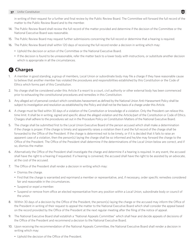in writing of their request for a further and final review by the Public Review Board. The Committee will forward the full record of the matter to the Public Review Board and to the member.

- 14. The Public Review Board shall review the full record of the matter provided and determine if the decision of the Committee or the National Executive Board was reasonable.
- 15. The Public Review Board may request further submissions concerning the full record or determine that a hearing is required.
- 16. The Public Review Board shall within 120 days of receiving the full record render a decision in writing which may:
	- Uphold the decision or action of the Committee or the National Executive Board.
	- If the decision is found to be unreasonable, refer the matter back to a lower body with instructions, or substitute another decision which is appropriate in all the circumstances.

### C **Charges**

- 1. A member in good standing, a group of members, Local Union or subordinate body may file a charge if they have reasonable cause to believe that another member has violated the procedures and responsibilities established by this Constitution or the Code of Ethics which forms part of this Constitution.
- 2. No charge shall be considered under this Article if a resort to a court, civil authority or other external body has been commenced prior to exhausting the constitutional procedures and remedies in this Constitution.
- 3. Any alleged act of personal conduct which constitutes harassment as defined by the National Union Anti-Harassment Policy shall be subject to investigation and resolution as established by the Policy and shall not be the basis of a charge under this Article.
- 4. A charge must be filed within 30 days of a violation of the Constitution or knowledge of a violation. Only the President can relieve this time limit. It shall be in writing, signed and specific about the alleged violation and the Article/part of the Constitution or Code of Ethics. Charges shall adhere to the procedures set out in the Procedure Policy on Constitution Matters of the National Executive Board.
- 5. The charge shall be submitted first to the Local Union Executive Board of the person accused which shall make a determination if the charge is proper. If the charge is timely and apparently raises a violation then it and the full record of the charge shall be forwarded to the Office of the President. If the charge is determined not to be timely, or if it is decided that it fails to raise an apparent case of a violation, then the person(s) laying the charge shall be so informed and he/she may forward the charge to the Office of the President. The Office of the President shall determine if the determinations of the Local Union below are correct, and if so, dismiss the matter.
- 6. Alternatively the Office of the President shall investigate the charge and determine if a hearing is required. In any event, the accused shall have the right to a hearing if requested. If a hearing is convened, the accused shall have the right to be assisted by an advocate, at the cost of the accused.
- 7. The Office of the President shall render a decision in writing which may:
	- Dismiss the charge.
	- Find that the charge is warranted and reprimand a member or representative, and, if necessary, order specific remedies considered fair and reasonable in the circumstances.
	- Suspend or expel a member.
	- Suspend or remove from office an elected representative from any position within a Local Union, subordinate body or council of the union.
- 8. Within 30 days of a decision by the Office of the President, the person(s) laying the charge or the accused may inform the Office of the President in writing of their request to appeal the matter to the National Executive Board which shall consider the appeal based on the record provided by the Office of the President at the next regular meeting after the filing of the notice of appeal.
- 9. The National Executive Board shall establish a "National Appeals Committee" which shall hear and decide appeals of decisions of the Office of the President and recommend a decision to the National Executive Board.
- 10. Upon receiving the recommendation of the National Appeals Committee, the National Executive Board shall render a decision in writing which may:
	- Uphold the decision of the Office of the President.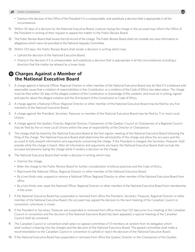- Overturn the decision of the Office of the President if it is unreasonable, and substitute a decision that is appropriate in all the circumstances.
- 11. Within 30 days of a decision by the National Executive Board, a person laying the charge or the accused may inform the Office of the President in writing of their request to appeal the matter to the Public Review Board.
- 12. The Public Review Board shall review the full record of the charge. The Public Review Board shall not consider any new information or allegations which were not provided to the National Appeals Committee.
- 13. Within 120 days, the Public Review Board shall render a decision in writing which may:
	- Uphold the decision of the National Executive Board.
	- Overturn the decision if it is unreasonable, and substitute a decision that is appropriate in all the circumstances including a direction that the matter be reheard by a lower body.

### D **Charges Against a Member of the National Executive Board**

- 1. A charge against a National Officer, Regional Director or other member of the National Executive Board may be filed if it is believed with reasonable cause that a violation of responsibilities in this Constitution, or a violation of the Code of Ethics has taken place. The charge must be filed within 30 days of the alleged violation of the Constitution or knowledge of the violation, and must be in writing, signed and specific about the alleged violation and the Article/part of the Constitution or Code of Ethics.
- 2. A charge against a National Officer, Regional Director or other member of the National Executive Board may be filed by any five members of the National Executive Board.
- 3. A charge against the President, Secretary Treasurer or member of the National Executive Board may be filed by 11 or more Local Unions.
- 4. A charge against the Quebec Director, Regional Director, Chairperson of the Quebec Council or Chairperson of a Regional Council may be filed by five or more Local Unions within the area of responsibility of the Director or Chairperson.
- 5. The charge shall be heard by the National Executive Board at the first regular meeting of the National Executive Board following the filing of the charge. The National Executive Board shall determine the admissibility of the charge and allow the accusers and the accused to fully present information and arguments concerning the charge. If the President is charged, the Secretary Treasurer shall preside while the charge is heard. After all information and arguments are heard, the National Executive Board shall exclude the accused and persons laying the charge while it renders a decision on the charge.
- 6. The National Executive Board shall render a decision in writing which may:
	- Dismiss the charge.
	- Refer the charge to the Public Review Board for further consideration of ethical practices and the Code of Ethics.
	- Reprimand the National Officer, Regional Director or other member of the National Executive Board.
	- By a two thirds vote, suspend or remove a National Officer, Regional Director or other member of the National Executive Board from office.
	- By a two thirds vote, expel the National Officer, Regional Director or other member of the National Executive Board from membership in the union.
- 7. If the National Executive Board has suspended or removed from office the President, Secretary Treasurer, Regional Director or other member of the National Executive Board, the accused may appeal the decision to the next meeting of the Canadian Council or convention, whichever is closer.
- 8. If the President or Secretary Treasurer are suspended or removed from office more than 120 days prior to a meeting of the Canadian Council or convention and the decision of the National Executive Board has been appealed, a special meeting of the Canadian Council shall be convened.
- 9. The Canadian Council or convention shall select an appeal committee of 13 members at random from its delegates which shall conduct a hearing into the charges and the decision of the National Executive Board. The appeal committee shall make a recommendation to the Canadian Council or convention to uphold or reject the decision of the National Executive Board.
- 10. If the National Executive Board has suspended or removed from office the Quebec Director or the Chairperson of the Quebec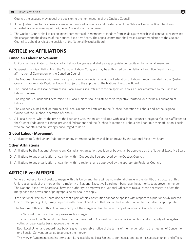Council, the accused may appeal the decision to the next meeting of the Quebec Council.

- 11. If the Quebec Director has been suspended or removed from office and the decision of the National Executive Board has been appealed, a special meeting of the Quebec Council shall be convened.
- 12. The Quebec Council shall select an appeal committee of 13 members at random from its delegates which shall conduct a hearing into the charges and the decision of the National Executive Board. The appeal committee shall make a recommendation to the Quebec Council to uphold or reject the decision of the National Executive Board.

### **ARTICLE 19: AFFILIATIONS**

### **Canadian Labour Movement**

- 1. Unifor shall be affiliated to the Canadian Labour Congress and shall pay appropriate per capita on behalf of all members.
- 2. Suspension or disaffiliation from the Canadian Labour Congress may be authorized by the National Executive Board prior to affirmation of Convention, or the Canadian Council.
- 3. The National Union may withdraw its support from a provincial or territorial Federation of Labour if recommended by the Quebec Council or appropriate Regional Council, subject to the approval of the National Executive Board.
- 4. The Canadian Council shall determine if all Local Unions shall affiliate to their respective Labour Councils chartered by the Canadian Labour Congress.
- 5. The Regional Councils shall determine if all Local Unions shall affiliate to their respective territorial or provincial Federation of Labour.
- 6. The Quebec Council shall determine if all Local Unions shall affiliate to the Quebec Federation of Labour and/or the Regional Councils of the Quebec Federation of Labour.
- 7. All Local Unions, who, at the time of the Founding Convention, are affiliated with local labour councils, Regional Councils affiliated to the Quebec Federation of Labour, provincial federations and the Quebec Federation of Labour shall continue their affiliation. Locals who are not affiliated are strongly encouraged to do so.

### **Global Labour Movement**

8. Affiliations to Global Union Federations or any international body shall be approved by the National Executive Board.

### **Other Affiliations**

- 9. Affiliations by the National Union to any Canadian organization, coalition or body shall be approved by the National Executive Board.
- 10. Affiliations to any organization or coalition within Quebec shall be approved by the Quebec Council.
- 11. Affiliations to any organization or coalition within a region shall be approved by the appropriate Regional Council.

### **ARTICLE 20: MERGER**

- 1. Where another union(s) seeks to merge with this Union and there will be no material change in the identity, or structure of this Union, as a result of the merger, then a majority of National Executive Board members have the authority to approve the merger. The National Executive Board shall have the authority to empower the National Officers to take all steps necessary to effect the merger and the provisions of paragraph 3 below shall not apply.
- 2. If the National Executive Board decides that a part of this Constitution cannot be applied with respect to a prior or newly merged Union or Bargaining Unit, it may dispense with the applicability of that part of the Constitution on terms it deems appropriate.
- 3. The National Officers of this Union may carry out the merger of this Union with any other union in Canada provided:
	- The National Executive Board approves such a merger.
	- The decision of the National Executive Board is presented to Convention or a special Convention and a majority of delegates voting on a per capita basis approve the merger.
	- Each Local Union and subordinate body is given reasonable notice of the terms of the merger prior to the meeting of Convention or a Special Convention called to approve the merger.
	- The Merger Agreement contains terms permitting established Local Unions to continue as entities in the successor union and effects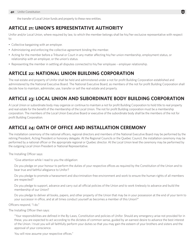the transfer of Local Union funds and property to these new entities.

### **ARTICLE 21: UNION'S REPRESENTATIVE AUTHORITY**

Unifor and/or Local Union, where required by law, to which the member belongs shall be his/her exclusive representative with respect to:

- Collective bargaining with an employer.
- Administering and enforcing the collective agreement binding the member.
- Acting for the member before a Tribunal or Court in any matter affecting his/her union membership, employment status, or relationship with an employer, or the union's status.
- Representing the member in settling all disputes connected to his/her employee employer relationship.

### **ARTICLE 22: NATIONAL UNION BUILDING CORPORATION**

The real estate and property of Unifor shall be held and administered under a not for profit Building Corporation established and administered by the National Executive Board. The National Executive Board, as members of the not for profit Building Corporation shall decide how to maintain, administer, use, transfer or sell the real estate and property.

# **ARTICLE 23: LOCAL UNION AND SUBORDINATE BODY BUILDING CORPORATION**

A Local Union or subordinate body may organize or continue to maintain a not for profit Building Corporation to hold title to real property and real estate for the benefit of the membership of the Local Union. The not for profit Building corporation must be a membership corporation. The members of the Local Union Executive Board or executive of the subordinate body shall be the members of the not for profit Building Corporation.

### **ARTICLE 24: OATH OF OFFICE AND INSTALLATION CEREMONY**

The installation ceremony of the national officers, regional directors and members of the National Executive Board may be performed by the retiring President, Acting President or honorary delegate. At the Regional Councils or the Quebec Council, the installation ceremony may be performed by a national officer or the appropriate regional or Quebec director. At the Local Union level the ceremony may be performed by the outgoing Local Union President or National Representative.

The Installing Officer says:

"Give attention while I read to you the obligation:

Do you pledge on your honour to perform the duties of your respective offices as required by the Constitution of the Union and to bear true and faithful allegiance to Unifor?

Do you pledge to promote a harassment and discrimination-free environment and work to ensure the human rights of all members are respected?

Do you pledge to support, advance and carry out all official policies of the Union and to work tirelessly to advance and build the membership of our Union?

Do you pledge to deliver all books, papers, and other property of the Union that may be in your possession at the end of your term to your successor in office, and at all times conduct yourself as becomes a member of this Union?"

Officers respond, "I do."

The Installing Officer then says:

"Your responsibilities are defined in the By-Laws, Constitution and policies of Unifor. Should any emergency arise not provided for in these, you are expected to act according to the dictates of common sense, guided by an earnest desire to advance the best interest of the Union. I trust you will all faithfully perform your duties so that you may gain the esteem of your brothers and sisters and the approval of your conscience.

You will now assume your respective offices."

 $\mathbf{H}$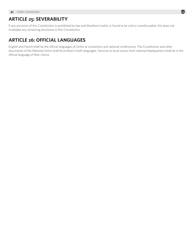### **ARTICLE 25: SEVERABILITY**

If any provision of this Constitution is prohibited by law and therefore invalid, or found to be void or unenforceable, this does not invalidate any remaining provisions in this Constitution.

### **ARTICLE 26: OFFICIAL LANGUAGES**

English and French shall be the official languages of Unifor at convention and national conferences. The Constitution and other documents of the National Union shall be printed in both languages. Services to local unions from national headquarters shall be in the official language of their choice.